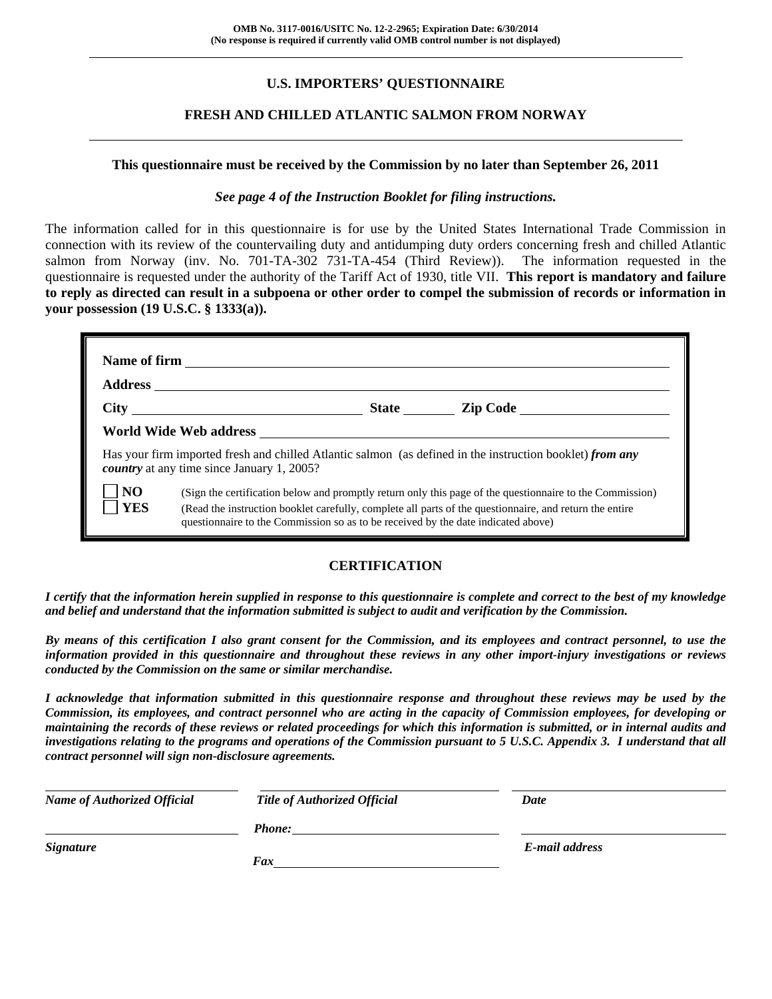## **U.S. IMPORTERS' QUESTIONNAIRE**

### **FRESH AND CHILLED ATLANTIC SALMON FROM NORWAY**

### **This questionnaire must be received by the Commission by no later than September 26, 2011**

### *See page 4 of the Instruction Booklet for filing instructions.*

The information called for in this questionnaire is for use by the United States International Trade Commission in connection with its review of the countervailing duty and antidumping duty orders concerning fresh and chilled Atlantic salmon from Norway (inv. No. 701-TA-302 731-TA-454 (Third Review)). The information requested in the questionnaire is requested under the authority of the Tariff Act of 1930, title VII. **This report is mandatory and failure to reply as directed can result in a subpoena or other order to compel the submission of records or information in your possession (19 U.S.C. § 1333(a)).**

| <b>Address</b>               |                                                   |                                                                                   |                                                                                                                                                                                                                     |
|------------------------------|---------------------------------------------------|-----------------------------------------------------------------------------------|---------------------------------------------------------------------------------------------------------------------------------------------------------------------------------------------------------------------|
|                              |                                                   |                                                                                   | State <u>Lip Code</u>                                                                                                                                                                                               |
|                              | World Wide Web address                            |                                                                                   |                                                                                                                                                                                                                     |
|                              | <i>country</i> at any time since January 1, 2005? |                                                                                   | Has your firm imported fresh and chilled Atlantic salmon (as defined in the instruction booklet) from any                                                                                                           |
| N <sub>O</sub><br><b>YES</b> |                                                   | questionnaire to the Commission so as to be received by the date indicated above) | (Sign the certification below and promptly return only this page of the questionnaire to the Commission)<br>(Read the instruction booklet carefully, complete all parts of the questionnaire, and return the entire |

### **CERTIFICATION**

*I certify that the information herein supplied in response to this questionnaire is complete and correct to the best of my knowledge and belief and understand that the information submitted is subject to audit and verification by the Commission.* 

*By means of this certification I also grant consent for the Commission, and its employees and contract personnel, to use the information provided in this questionnaire and throughout these reviews in any other import-injury investigations or reviews conducted by the Commission on the same or similar merchandise.* 

*I acknowledge that information submitted in this questionnaire response and throughout these reviews may be used by the Commission, its employees, and contract personnel who are acting in the capacity of Commission employees, for developing or maintaining the records of these reviews or related proceedings for which this information is submitted, or in internal audits and investigations relating to the programs and operations of the Commission pursuant to 5 U.S.C. Appendix 3. I understand that all contract personnel will sign non-disclosure agreements.* 

| <b>Name of Authorized Official</b> | <b>Title of Authorized Official</b> | Date           |
|------------------------------------|-------------------------------------|----------------|
|                                    | <b>Phone:</b>                       |                |
| <i>Signature</i>                   |                                     | E-mail address |
|                                    | Fax                                 |                |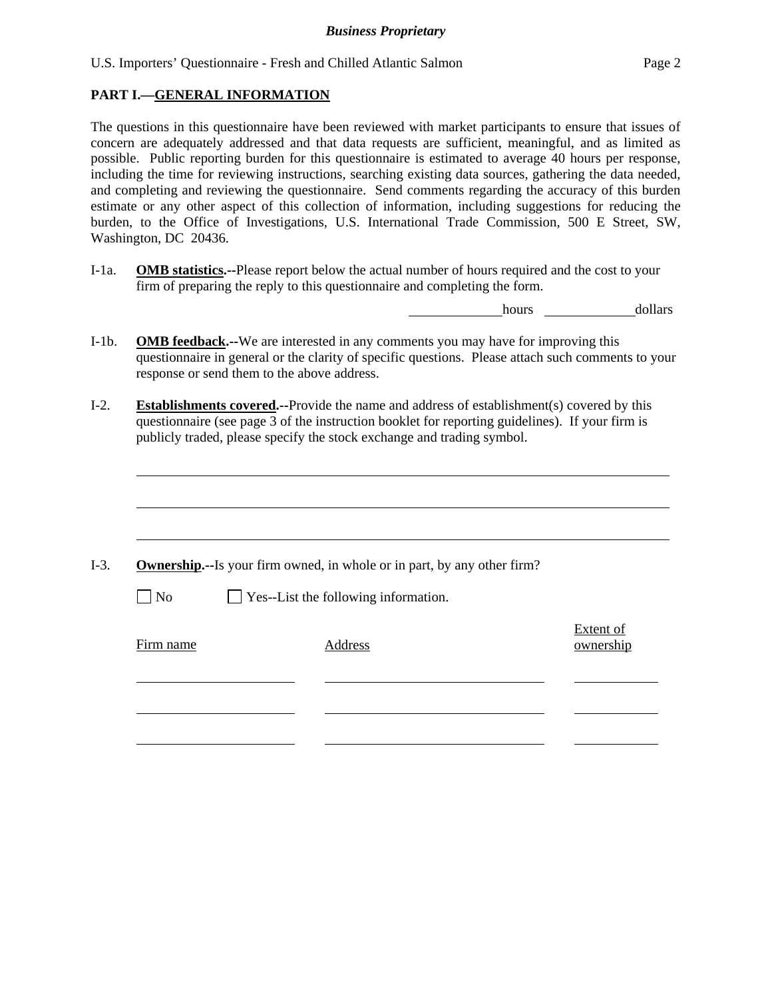U.S. Importers' Questionnaire - Fresh and Chilled Atlantic Salmon Page 2

### **PART I.—GENERAL INFORMATION**

l

The questions in this questionnaire have been reviewed with market participants to ensure that issues of concern are adequately addressed and that data requests are sufficient, meaningful, and as limited as possible. Public reporting burden for this questionnaire is estimated to average 40 hours per response, including the time for reviewing instructions, searching existing data sources, gathering the data needed, and completing and reviewing the questionnaire. Send comments regarding the accuracy of this burden estimate or any other aspect of this collection of information, including suggestions for reducing the burden, to the Office of Investigations, U.S. International Trade Commission, 500 E Street, SW, Washington, DC 20436.

I-1a. **OMB statistics.--**Please report below the actual number of hours required and the cost to your firm of preparing the reply to this questionnaire and completing the form.

hours dollars

- I-1b. **OMB feedback.--**We are interested in any comments you may have for improving this questionnaire in general or the clarity of specific questions. Please attach such comments to your response or send them to the above address.
- I-2. **Establishments covered.--**Provide the name and address of establishment(s) covered by this questionnaire (see page 3 of the instruction booklet for reporting guidelines). If your firm is publicly traded, please specify the stock exchange and trading symbol.

|           |                                             | <b>Ownership.</b> --Is your firm owned, in whole or in part, by any other firm? |
|-----------|---------------------------------------------|---------------------------------------------------------------------------------|
| $\Box$ No | $\Box$ Yes--List the following information. |                                                                                 |
|           |                                             | Extent of                                                                       |
| Firm name | Address                                     | ownership                                                                       |
|           |                                             |                                                                                 |
|           |                                             |                                                                                 |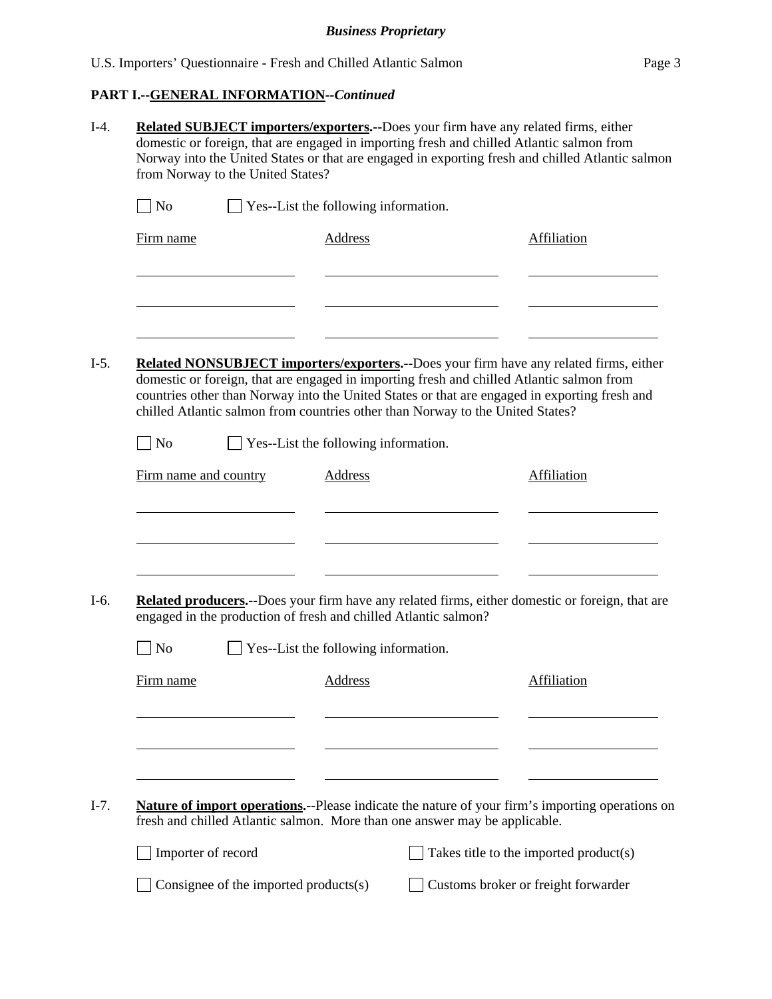# **PART I.--GENERAL INFORMATION***--Continued*

| <b>Related SUBJECT importers/exporters.--Does your firm have any related firms, either</b><br>domestic or foreign, that are engaged in importing fresh and chilled Atlantic salmon from<br>Norway into the United States or that are engaged in exporting fresh and chilled Atlantic salmon<br>from Norway to the United States? |  |                                             |                                       |                                                                                                                                                                                                                                                                                                                                                                                                                                                                                                                                                                                                                                                                                                                                                                                                                                                                             |  |  |  |
|----------------------------------------------------------------------------------------------------------------------------------------------------------------------------------------------------------------------------------------------------------------------------------------------------------------------------------|--|---------------------------------------------|---------------------------------------|-----------------------------------------------------------------------------------------------------------------------------------------------------------------------------------------------------------------------------------------------------------------------------------------------------------------------------------------------------------------------------------------------------------------------------------------------------------------------------------------------------------------------------------------------------------------------------------------------------------------------------------------------------------------------------------------------------------------------------------------------------------------------------------------------------------------------------------------------------------------------------|--|--|--|
| <b>No</b>                                                                                                                                                                                                                                                                                                                        |  |                                             |                                       |                                                                                                                                                                                                                                                                                                                                                                                                                                                                                                                                                                                                                                                                                                                                                                                                                                                                             |  |  |  |
| Firm name                                                                                                                                                                                                                                                                                                                        |  | <b>Address</b>                              |                                       | <b>Affiliation</b>                                                                                                                                                                                                                                                                                                                                                                                                                                                                                                                                                                                                                                                                                                                                                                                                                                                          |  |  |  |
|                                                                                                                                                                                                                                                                                                                                  |  |                                             |                                       |                                                                                                                                                                                                                                                                                                                                                                                                                                                                                                                                                                                                                                                                                                                                                                                                                                                                             |  |  |  |
|                                                                                                                                                                                                                                                                                                                                  |  |                                             |                                       |                                                                                                                                                                                                                                                                                                                                                                                                                                                                                                                                                                                                                                                                                                                                                                                                                                                                             |  |  |  |
| <b>No</b>                                                                                                                                                                                                                                                                                                                        |  |                                             |                                       |                                                                                                                                                                                                                                                                                                                                                                                                                                                                                                                                                                                                                                                                                                                                                                                                                                                                             |  |  |  |
|                                                                                                                                                                                                                                                                                                                                  |  | <b>Address</b>                              |                                       | <b>Affiliation</b>                                                                                                                                                                                                                                                                                                                                                                                                                                                                                                                                                                                                                                                                                                                                                                                                                                                          |  |  |  |
|                                                                                                                                                                                                                                                                                                                                  |  |                                             |                                       |                                                                                                                                                                                                                                                                                                                                                                                                                                                                                                                                                                                                                                                                                                                                                                                                                                                                             |  |  |  |
| <b>No</b>                                                                                                                                                                                                                                                                                                                        |  |                                             |                                       |                                                                                                                                                                                                                                                                                                                                                                                                                                                                                                                                                                                                                                                                                                                                                                                                                                                                             |  |  |  |
| Firm name                                                                                                                                                                                                                                                                                                                        |  | <b>Address</b>                              |                                       | <b>Affiliation</b>                                                                                                                                                                                                                                                                                                                                                                                                                                                                                                                                                                                                                                                                                                                                                                                                                                                          |  |  |  |
|                                                                                                                                                                                                                                                                                                                                  |  |                                             |                                       |                                                                                                                                                                                                                                                                                                                                                                                                                                                                                                                                                                                                                                                                                                                                                                                                                                                                             |  |  |  |
|                                                                                                                                                                                                                                                                                                                                  |  |                                             |                                       |                                                                                                                                                                                                                                                                                                                                                                                                                                                                                                                                                                                                                                                                                                                                                                                                                                                                             |  |  |  |
|                                                                                                                                                                                                                                                                                                                                  |  |                                             |                                       | Takes title to the imported product(s)                                                                                                                                                                                                                                                                                                                                                                                                                                                                                                                                                                                                                                                                                                                                                                                                                                      |  |  |  |
|                                                                                                                                                                                                                                                                                                                                  |  |                                             |                                       | Customs broker or freight forwarder                                                                                                                                                                                                                                                                                                                                                                                                                                                                                                                                                                                                                                                                                                                                                                                                                                         |  |  |  |
|                                                                                                                                                                                                                                                                                                                                  |  | Firm name and country<br>Importer of record | Consignee of the imported products(s) | $\Box$ Yes--List the following information.<br>Related NONSUBJECT importers/exporters.--Does your firm have any related firms, either<br>domestic or foreign, that are engaged in importing fresh and chilled Atlantic salmon from<br>countries other than Norway into the United States or that are engaged in exporting fresh and<br>chilled Atlantic salmon from countries other than Norway to the United States?<br>$\Box$ Yes--List the following information.<br>Related producers.--Does your firm have any related firms, either domestic or foreign, that are<br>engaged in the production of fresh and chilled Atlantic salmon?<br>Yes--List the following information.<br><b>Nature of import operations.</b> --Please indicate the nature of your firm's importing operations on<br>fresh and chilled Atlantic salmon. More than one answer may be applicable. |  |  |  |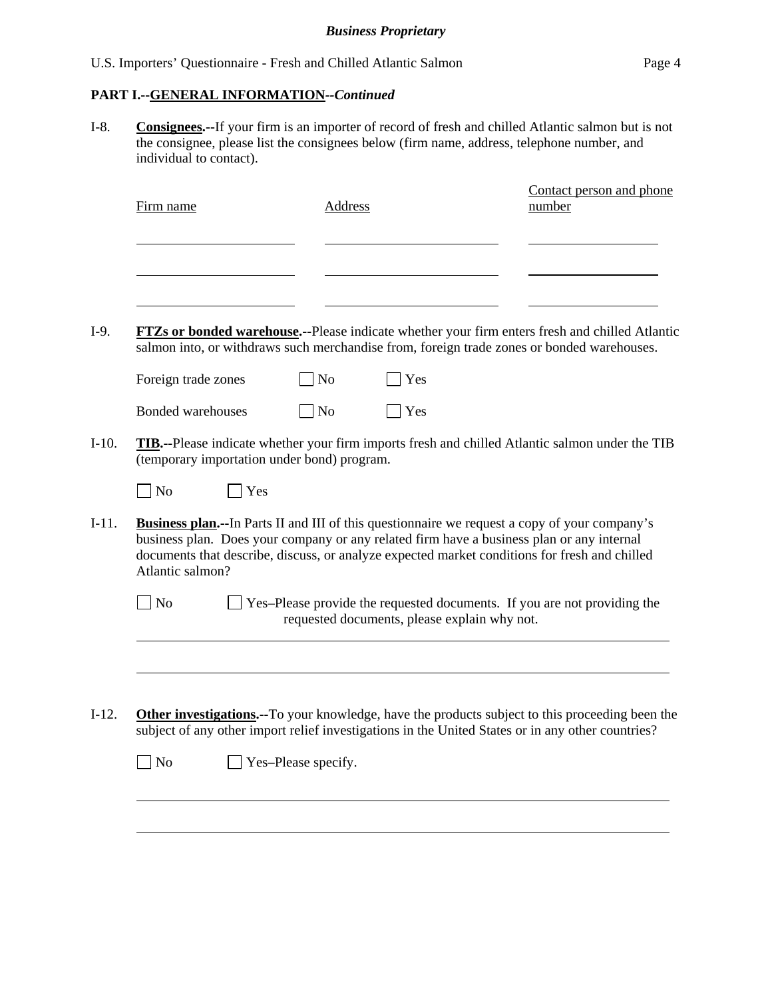### **PART I.--GENERAL INFORMATION***--Continued*

I-8. **Consignees.--**If your firm is an importer of record of fresh and chilled Atlantic salmon but is not the consignee, please list the consignees below (firm name, address, telephone number, and individual to contact).

| Firm name                                   | Address        |     | Contact person and phone<br>number                                                                      |
|---------------------------------------------|----------------|-----|---------------------------------------------------------------------------------------------------------|
|                                             |                |     |                                                                                                         |
|                                             |                |     |                                                                                                         |
|                                             |                |     | <b>FTZs or bonded warehouse.</b> --Please indicate whether your firm enters fresh and chilled Atlantic  |
|                                             |                |     | salmon into, or withdraws such merchandise from, foreign trade zones or bonded warehouses.              |
| Foreign trade zones                         | N <sub>o</sub> | Yes |                                                                                                         |
| Bonded warehouses                           | N <sub>o</sub> | Yes |                                                                                                         |
| (temporary importation under bond) program. |                |     | <b>TIB.</b> --Please indicate whether your firm imports fresh and chilled Atlantic salmon under the TIB |

| I<br>$1$ No | Yes |
|-------------|-----|
|-------------|-----|

l

 $\overline{a}$ 

- I-11. **Business plan.--**In Parts II and III of this questionnaire we request a copy of your company's business plan. Does your company or any related firm have a business plan or any internal documents that describe, discuss, or analyze expected market conditions for fresh and chilled Atlantic salmon?
	- No See-Please provide the requested documents. If you are not providing the requested documents, please explain why not.
- I-12. **Other investigations.--**To your knowledge, have the products subject to this proceeding been the subject of any other import relief investigations in the United States or in any other countries?

| $\Box$ No | $\Box$ Yes-Please specify. |
|-----------|----------------------------|
|-----------|----------------------------|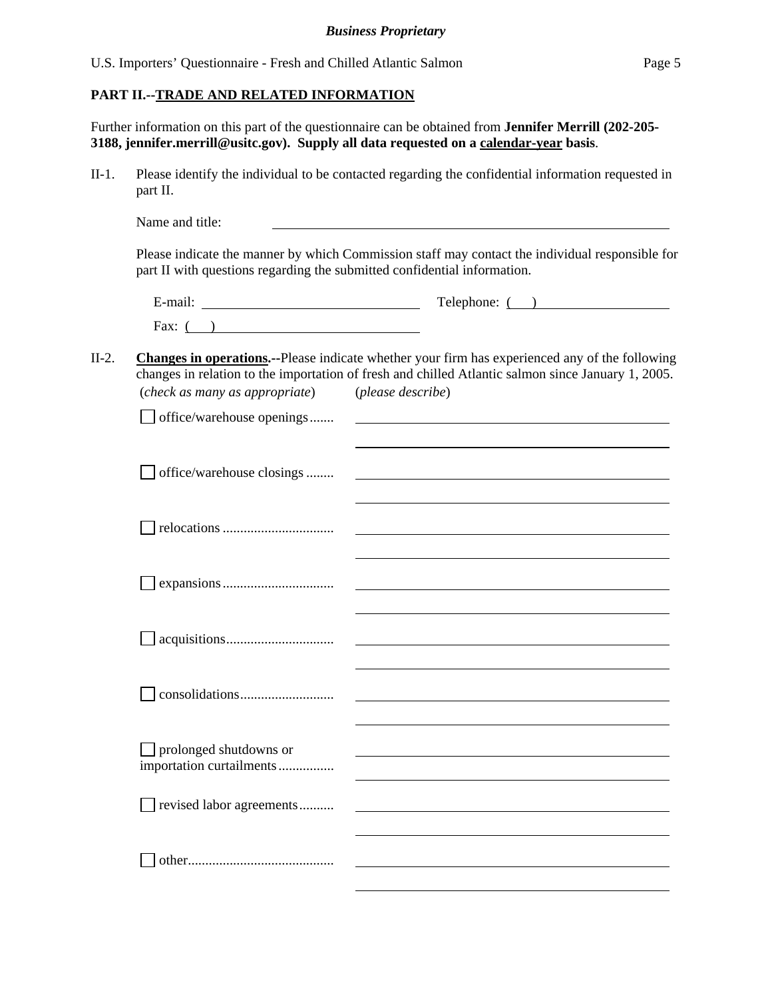### **PART II.--TRADE AND RELATED INFORMATION**

Further information on this part of the questionnaire can be obtained from **Jennifer Merrill (202-205- 3188, jennifer.merrill@usitc.gov). Supply all data requested on a calendar-year basis**.

II-1. Please identify the individual to be contacted regarding the confidential information requested in part II.

Name and title: Please indicate the manner by which Commission staff may contact the individual responsible for part II with questions regarding the submitted confidential information. E-mail: Telephone: ( ) Fax:  $($ ) II-2. **Changes in operations.--**Please indicate whether your firm has experienced any of the following

# changes in relation to the importation of fresh and chilled Atlantic salmon since January 1, 2005. (*check as many as appropriate*) (*please describe*)

| office/warehouse openings |  |
|---------------------------|--|
|                           |  |
| office/warehouse closings |  |
|                           |  |
|                           |  |
|                           |  |
|                           |  |
|                           |  |
|                           |  |
|                           |  |
|                           |  |
|                           |  |
|                           |  |
| prolonged shutdowns or    |  |
| importation curtailments  |  |
| revised labor agreements  |  |
|                           |  |
|                           |  |
|                           |  |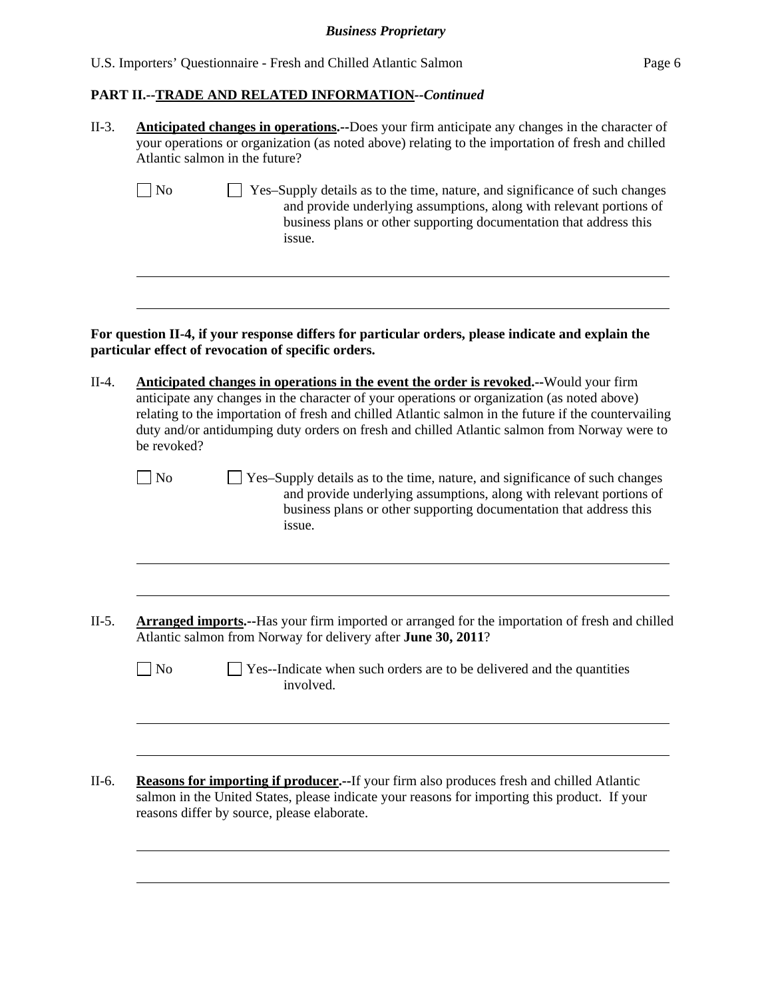| U.S. Importers' Questionnaire - Fresh and Chilled Atlantic Salmon | Page 6 |
|-------------------------------------------------------------------|--------|
|-------------------------------------------------------------------|--------|

# **PART II.--TRADE AND RELATED INFORMATION***--Continued*

| $II-3.$ | <b>Anticipated changes in operations.</b> --Does your firm anticipate any changes in the character of<br>your operations or organization (as noted above) relating to the importation of fresh and chilled<br>Atlantic salmon in the future?                                                                                                                                                                |  |  |  |  |  |  |  |
|---------|-------------------------------------------------------------------------------------------------------------------------------------------------------------------------------------------------------------------------------------------------------------------------------------------------------------------------------------------------------------------------------------------------------------|--|--|--|--|--|--|--|
|         | N <sub>o</sub><br>Yes-Supply details as to the time, nature, and significance of such changes<br>and provide underlying assumptions, along with relevant portions of<br>business plans or other supporting documentation that address this<br>issue.                                                                                                                                                        |  |  |  |  |  |  |  |
|         | For question II-4, if your response differs for particular orders, please indicate and explain the<br>particular effect of revocation of specific orders.                                                                                                                                                                                                                                                   |  |  |  |  |  |  |  |
| $II-4.$ | Anticipated changes in operations in the event the order is revoked.--Would your firm<br>anticipate any changes in the character of your operations or organization (as noted above)<br>relating to the importation of fresh and chilled Atlantic salmon in the future if the countervailing<br>duty and/or antidumping duty orders on fresh and chilled Atlantic salmon from Norway were to<br>be revoked? |  |  |  |  |  |  |  |
|         | $\overline{\phantom{a}}$ No<br>Yes-Supply details as to the time, nature, and significance of such changes<br>and provide underlying assumptions, along with relevant portions of<br>business plans or other supporting documentation that address this<br>issue.                                                                                                                                           |  |  |  |  |  |  |  |
| $II-5.$ | <b>Arranged imports.</b> --Has your firm imported or arranged for the importation of fresh and chilled<br>Atlantic salmon from Norway for delivery after June 30, 2011?                                                                                                                                                                                                                                     |  |  |  |  |  |  |  |
|         | N <sub>o</sub><br>Yes--Indicate when such orders are to be delivered and the quantities<br>involved.                                                                                                                                                                                                                                                                                                        |  |  |  |  |  |  |  |
| II-6.   | <b>Reasons for importing if producer.</b> --If your firm also produces fresh and chilled Atlantic<br>salmon in the United States, please indicate your reasons for importing this product. If your                                                                                                                                                                                                          |  |  |  |  |  |  |  |
|         | reasons differ by source, please elaborate.                                                                                                                                                                                                                                                                                                                                                                 |  |  |  |  |  |  |  |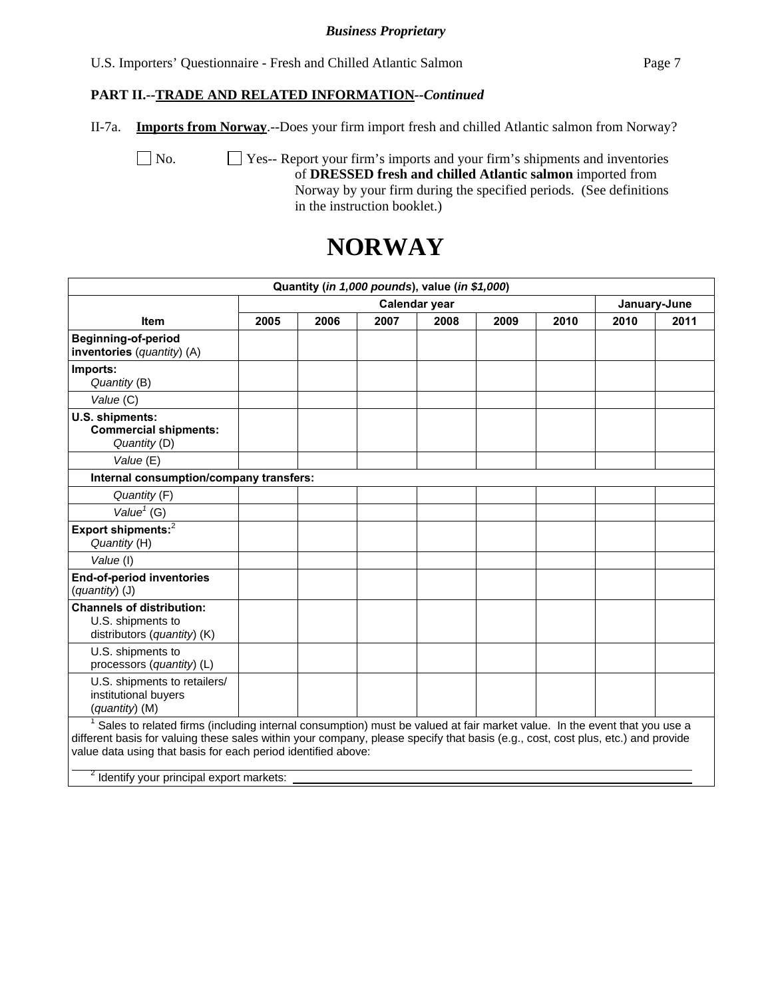U.S. Importers' Questionnaire - Fresh and Chilled Atlantic Salmon Page 7

### **PART II.--TRADE AND RELATED INFORMATION***--Continued*

II-7a. **Imports from Norway**.--Does your firm import fresh and chilled Atlantic salmon from Norway?

 No. Yes-- Report your firm's imports and your firm's shipments and inventories of **DRESSED fresh and chilled Atlantic salmon** imported from Norway by your firm during the specified periods. (See definitions in the instruction booklet.)

# **NORWAY**

|                                                                                                                                                                                                                                                                                                                                                                                       |               |      |      | Quantity (in 1,000 pounds), value (in \$1,000) |      |      |              |      |
|---------------------------------------------------------------------------------------------------------------------------------------------------------------------------------------------------------------------------------------------------------------------------------------------------------------------------------------------------------------------------------------|---------------|------|------|------------------------------------------------|------|------|--------------|------|
|                                                                                                                                                                                                                                                                                                                                                                                       | Calendar year |      |      |                                                |      |      | January-June |      |
| <b>Item</b>                                                                                                                                                                                                                                                                                                                                                                           | 2005          | 2006 | 2007 | 2008                                           | 2009 | 2010 | 2010         | 2011 |
| <b>Beginning-of-period</b><br>inventories (quantity) (A)                                                                                                                                                                                                                                                                                                                              |               |      |      |                                                |      |      |              |      |
| Imports:<br>Quantity (B)                                                                                                                                                                                                                                                                                                                                                              |               |      |      |                                                |      |      |              |      |
| Value (C)                                                                                                                                                                                                                                                                                                                                                                             |               |      |      |                                                |      |      |              |      |
| U.S. shipments:<br><b>Commercial shipments:</b><br>Quantity (D)                                                                                                                                                                                                                                                                                                                       |               |      |      |                                                |      |      |              |      |
| Value (E)                                                                                                                                                                                                                                                                                                                                                                             |               |      |      |                                                |      |      |              |      |
| Internal consumption/company transfers:                                                                                                                                                                                                                                                                                                                                               |               |      |      |                                                |      |      |              |      |
| Quantity (F)                                                                                                                                                                                                                                                                                                                                                                          |               |      |      |                                                |      |      |              |      |
| Value <sup><math>1</math></sup> (G)                                                                                                                                                                                                                                                                                                                                                   |               |      |      |                                                |      |      |              |      |
| Export shipments: <sup>2</sup><br>Quantity (H)                                                                                                                                                                                                                                                                                                                                        |               |      |      |                                                |      |      |              |      |
| Value (I)                                                                                                                                                                                                                                                                                                                                                                             |               |      |      |                                                |      |      |              |      |
| <b>End-of-period inventories</b><br>(quantity) (J)                                                                                                                                                                                                                                                                                                                                    |               |      |      |                                                |      |      |              |      |
| <b>Channels of distribution:</b><br>U.S. shipments to<br>distributors (quantity) (K)                                                                                                                                                                                                                                                                                                  |               |      |      |                                                |      |      |              |      |
| U.S. shipments to<br>processors (quantity) (L)                                                                                                                                                                                                                                                                                                                                        |               |      |      |                                                |      |      |              |      |
| U.S. shipments to retailers/<br>institutional buyers<br>(quantity) (M)                                                                                                                                                                                                                                                                                                                |               |      |      |                                                |      |      |              |      |
| Sales to related firms (including internal consumption) must be valued at fair market value. In the event that you use a<br>different basis for valuing these sales within your company, please specify that basis (e.g., cost, cost plus, etc.) and provide<br>value data using that basis for each period identified above:<br><sup>2</sup> Identify your principal export markets: |               |      |      |                                                |      |      |              |      |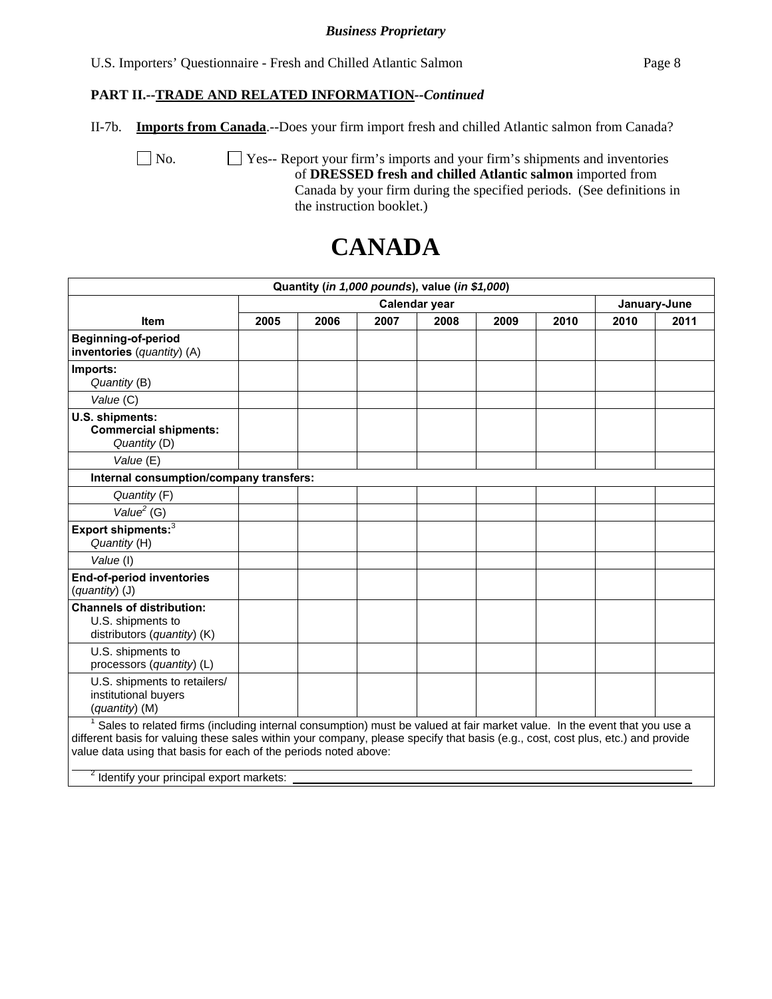U.S. Importers' Questionnaire - Fresh and Chilled Atlantic Salmon Page 8

### **PART II.--TRADE AND RELATED INFORMATION***--Continued*

II-7b. **Imports from Canada**.--Does your firm import fresh and chilled Atlantic salmon from Canada?

No.  $\Box$  Yes-- Report your firm's imports and your firm's shipments and inventories of **DRESSED fresh and chilled Atlantic salmon** imported from Canada by your firm during the specified periods. (See definitions in the instruction booklet.)

# **CANADA**

|                                                                                                                                                                                                                                                                                                                                                                                          |               |      |      | Quantity (in 1,000 pounds), value (in \$1,000) |      |      |              |      |
|------------------------------------------------------------------------------------------------------------------------------------------------------------------------------------------------------------------------------------------------------------------------------------------------------------------------------------------------------------------------------------------|---------------|------|------|------------------------------------------------|------|------|--------------|------|
|                                                                                                                                                                                                                                                                                                                                                                                          | Calendar year |      |      |                                                |      |      | January-June |      |
| <b>Item</b>                                                                                                                                                                                                                                                                                                                                                                              | 2005          | 2006 | 2007 | 2008                                           | 2009 | 2010 | 2010         | 2011 |
| <b>Beginning-of-period</b><br>inventories (quantity) (A)                                                                                                                                                                                                                                                                                                                                 |               |      |      |                                                |      |      |              |      |
| Imports:<br>Quantity (B)                                                                                                                                                                                                                                                                                                                                                                 |               |      |      |                                                |      |      |              |      |
| Value (C)                                                                                                                                                                                                                                                                                                                                                                                |               |      |      |                                                |      |      |              |      |
| U.S. shipments:<br><b>Commercial shipments:</b><br>Quantity (D)                                                                                                                                                                                                                                                                                                                          |               |      |      |                                                |      |      |              |      |
| Value (E)                                                                                                                                                                                                                                                                                                                                                                                |               |      |      |                                                |      |      |              |      |
| Internal consumption/company transfers:                                                                                                                                                                                                                                                                                                                                                  |               |      |      |                                                |      |      |              |      |
| Quantity (F)                                                                                                                                                                                                                                                                                                                                                                             |               |      |      |                                                |      |      |              |      |
| Value <sup>2</sup> (G)                                                                                                                                                                                                                                                                                                                                                                   |               |      |      |                                                |      |      |              |      |
| Export shipments: <sup>3</sup><br>Quantity (H)                                                                                                                                                                                                                                                                                                                                           |               |      |      |                                                |      |      |              |      |
| Value (I)                                                                                                                                                                                                                                                                                                                                                                                |               |      |      |                                                |      |      |              |      |
| <b>End-of-period inventories</b><br>(quantity) (J)                                                                                                                                                                                                                                                                                                                                       |               |      |      |                                                |      |      |              |      |
| <b>Channels of distribution:</b><br>U.S. shipments to<br>distributors (quantity) (K)                                                                                                                                                                                                                                                                                                     |               |      |      |                                                |      |      |              |      |
| U.S. shipments to<br>processors (quantity) (L)                                                                                                                                                                                                                                                                                                                                           |               |      |      |                                                |      |      |              |      |
| U.S. shipments to retailers/<br>institutional buyers<br>(quantity) (M)                                                                                                                                                                                                                                                                                                                   |               |      |      |                                                |      |      |              |      |
| Sales to related firms (including internal consumption) must be valued at fair market value. In the event that you use a<br>different basis for valuing these sales within your company, please specify that basis (e.g., cost, cost plus, etc.) and provide<br>value data using that basis for each of the periods noted above:<br><sup>2</sup> Identify your principal export markets: |               |      |      |                                                |      |      |              |      |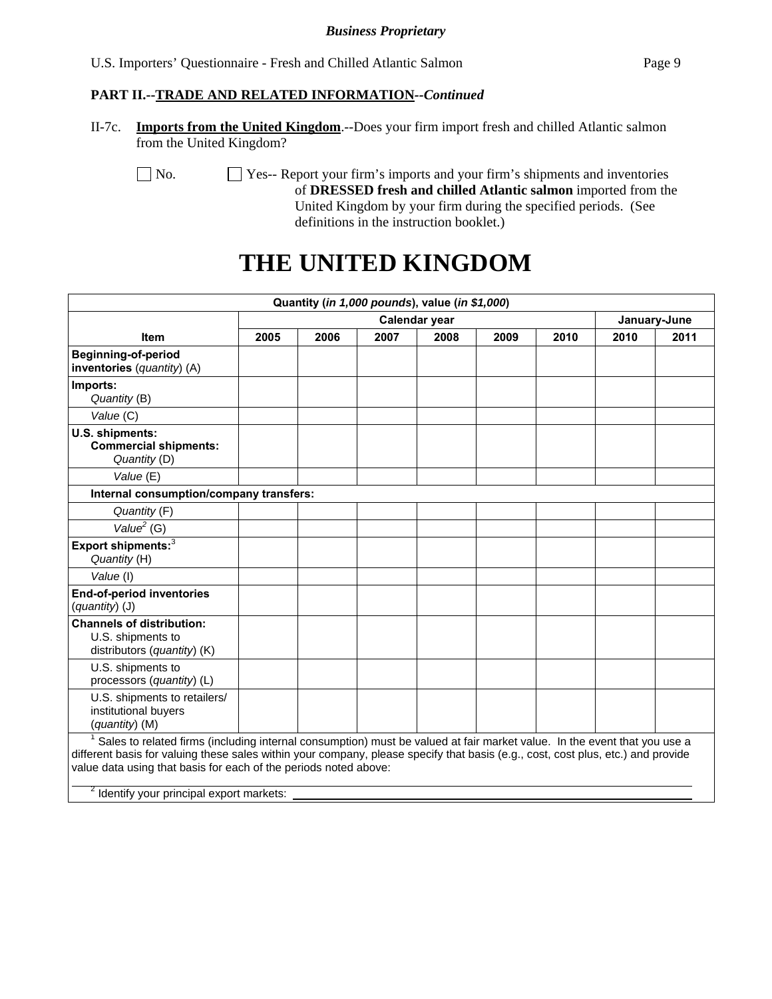### **PART II.--TRADE AND RELATED INFORMATION***--Continued*

II-7c. **Imports from the United Kingdom**.--Does your firm import fresh and chilled Atlantic salmon from the United Kingdom?

No.  $\Box$  Yes-- Report your firm's imports and your firm's shipments and inventories of **DRESSED fresh and chilled Atlantic salmon** imported from the United Kingdom by your firm during the specified periods. (See definitions in the instruction booklet.)

# **THE UNITED KINGDOM**

|                                                                                                                                                                                                                                                                                                                                                                                                       |      |               | Quantity (in 1,000 pounds), value (in \$1,000) |      |      |      |              |      |  |
|-------------------------------------------------------------------------------------------------------------------------------------------------------------------------------------------------------------------------------------------------------------------------------------------------------------------------------------------------------------------------------------------------------|------|---------------|------------------------------------------------|------|------|------|--------------|------|--|
|                                                                                                                                                                                                                                                                                                                                                                                                       |      | Calendar year |                                                |      |      |      | January-June |      |  |
| <b>Item</b>                                                                                                                                                                                                                                                                                                                                                                                           | 2005 | 2006          | 2007                                           | 2008 | 2009 | 2010 | 2010         | 2011 |  |
| Beginning-of-period<br>inventories (quantity) (A)                                                                                                                                                                                                                                                                                                                                                     |      |               |                                                |      |      |      |              |      |  |
| Imports:<br>Quantity (B)                                                                                                                                                                                                                                                                                                                                                                              |      |               |                                                |      |      |      |              |      |  |
| Value (C)                                                                                                                                                                                                                                                                                                                                                                                             |      |               |                                                |      |      |      |              |      |  |
| U.S. shipments:<br><b>Commercial shipments:</b><br>Quantity (D)                                                                                                                                                                                                                                                                                                                                       |      |               |                                                |      |      |      |              |      |  |
| Value (E)                                                                                                                                                                                                                                                                                                                                                                                             |      |               |                                                |      |      |      |              |      |  |
| Internal consumption/company transfers:                                                                                                                                                                                                                                                                                                                                                               |      |               |                                                |      |      |      |              |      |  |
| Quantity (F)                                                                                                                                                                                                                                                                                                                                                                                          |      |               |                                                |      |      |      |              |      |  |
| Value $2$ (G)                                                                                                                                                                                                                                                                                                                                                                                         |      |               |                                                |      |      |      |              |      |  |
| Export shipments: <sup>3</sup><br>Quantity (H)                                                                                                                                                                                                                                                                                                                                                        |      |               |                                                |      |      |      |              |      |  |
| Value (I)                                                                                                                                                                                                                                                                                                                                                                                             |      |               |                                                |      |      |      |              |      |  |
| End-of-period inventories<br>(quantity) (J)                                                                                                                                                                                                                                                                                                                                                           |      |               |                                                |      |      |      |              |      |  |
| <b>Channels of distribution:</b><br>U.S. shipments to<br>distributors (quantity) (K)                                                                                                                                                                                                                                                                                                                  |      |               |                                                |      |      |      |              |      |  |
| U.S. shipments to<br>processors (quantity) (L)                                                                                                                                                                                                                                                                                                                                                        |      |               |                                                |      |      |      |              |      |  |
| U.S. shipments to retailers/<br>institutional buyers<br>(quantity) (M)                                                                                                                                                                                                                                                                                                                                |      |               |                                                |      |      |      |              |      |  |
| <sup>1</sup> Sales to related firms (including internal consumption) must be valued at fair market value. In the event that you use a<br>different basis for valuing these sales within your company, please specify that basis (e.g., cost, cost plus, etc.) and provide<br>value data using that basis for each of the periods noted above:<br><sup>2</sup> Identify your principal export markets: |      |               |                                                |      |      |      |              |      |  |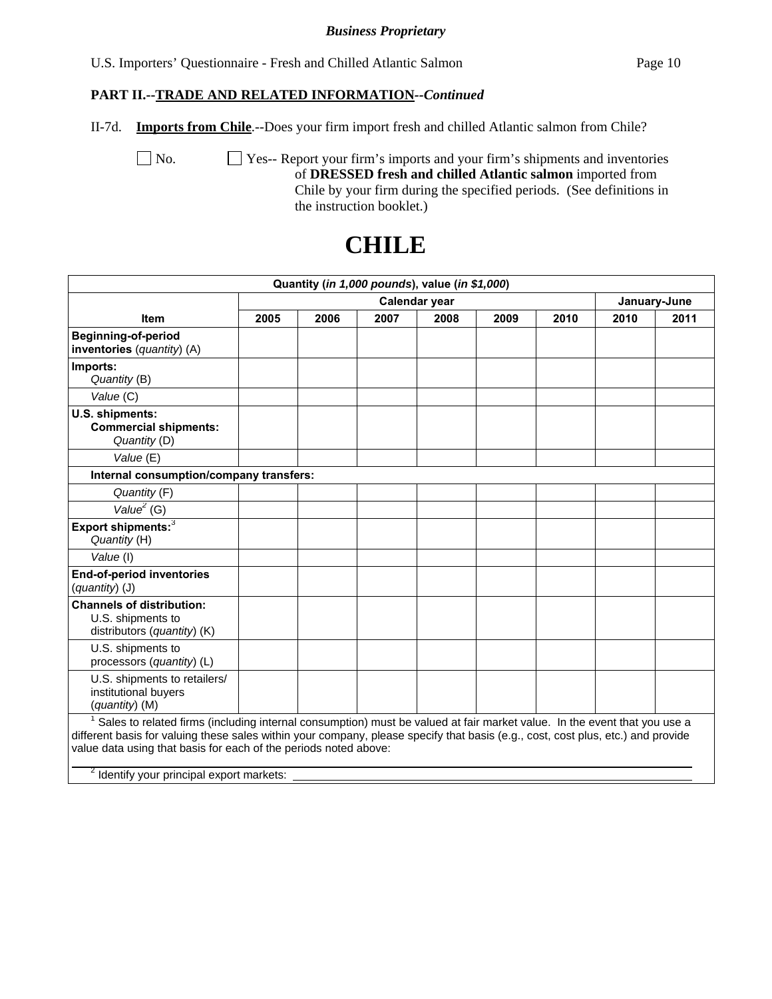U.S. Importers' Questionnaire - Fresh and Chilled Atlantic Salmon Page 10

### **PART II.--TRADE AND RELATED INFORMATION***--Continued*

II-7d. **Imports from Chile**.--Does your firm import fresh and chilled Atlantic salmon from Chile?

 No. Yes-- Report your firm's imports and your firm's shipments and inventories of **DRESSED fresh and chilled Atlantic salmon** imported from Chile by your firm during the specified periods. (See definitions in the instruction booklet.)

|                                                                                                                                                                                                                                                                                                                                                                                          |               |      |      | Quantity (in 1,000 pounds), value (in \$1,000) |      |              |      |      |
|------------------------------------------------------------------------------------------------------------------------------------------------------------------------------------------------------------------------------------------------------------------------------------------------------------------------------------------------------------------------------------------|---------------|------|------|------------------------------------------------|------|--------------|------|------|
|                                                                                                                                                                                                                                                                                                                                                                                          | Calendar year |      |      |                                                |      | January-June |      |      |
| <b>Item</b>                                                                                                                                                                                                                                                                                                                                                                              | 2005          | 2006 | 2007 | 2008                                           | 2009 | 2010         | 2010 | 2011 |
| <b>Beginning-of-period</b><br>inventories (quantity) (A)                                                                                                                                                                                                                                                                                                                                 |               |      |      |                                                |      |              |      |      |
| Imports:<br>Quantity (B)                                                                                                                                                                                                                                                                                                                                                                 |               |      |      |                                                |      |              |      |      |
| Value (C)                                                                                                                                                                                                                                                                                                                                                                                |               |      |      |                                                |      |              |      |      |
| U.S. shipments:<br><b>Commercial shipments:</b><br>Quantity (D)                                                                                                                                                                                                                                                                                                                          |               |      |      |                                                |      |              |      |      |
| Value (E)                                                                                                                                                                                                                                                                                                                                                                                |               |      |      |                                                |      |              |      |      |
| Internal consumption/company transfers:                                                                                                                                                                                                                                                                                                                                                  |               |      |      |                                                |      |              |      |      |
| Quantity (F)                                                                                                                                                                                                                                                                                                                                                                             |               |      |      |                                                |      |              |      |      |
| Value <sup>2</sup> (G)                                                                                                                                                                                                                                                                                                                                                                   |               |      |      |                                                |      |              |      |      |
| Export shipments: <sup>3</sup><br>Quantity (H)                                                                                                                                                                                                                                                                                                                                           |               |      |      |                                                |      |              |      |      |
| Value (I)                                                                                                                                                                                                                                                                                                                                                                                |               |      |      |                                                |      |              |      |      |
| <b>End-of-period inventories</b><br>(quantity) (J)                                                                                                                                                                                                                                                                                                                                       |               |      |      |                                                |      |              |      |      |
| <b>Channels of distribution:</b><br>U.S. shipments to<br>distributors (quantity) (K)                                                                                                                                                                                                                                                                                                     |               |      |      |                                                |      |              |      |      |
| U.S. shipments to<br>processors (quantity) (L)                                                                                                                                                                                                                                                                                                                                           |               |      |      |                                                |      |              |      |      |
| U.S. shipments to retailers/<br>institutional buyers<br>(quantity) (M)                                                                                                                                                                                                                                                                                                                   |               |      |      |                                                |      |              |      |      |
| Sales to related firms (including internal consumption) must be valued at fair market value. In the event that you use a<br>different basis for valuing these sales within your company, please specify that basis (e.g., cost, cost plus, etc.) and provide<br>value data using that basis for each of the periods noted above:<br><sup>2</sup> Identify your principal export markets: |               |      |      |                                                |      |              |      |      |

# **CHILE**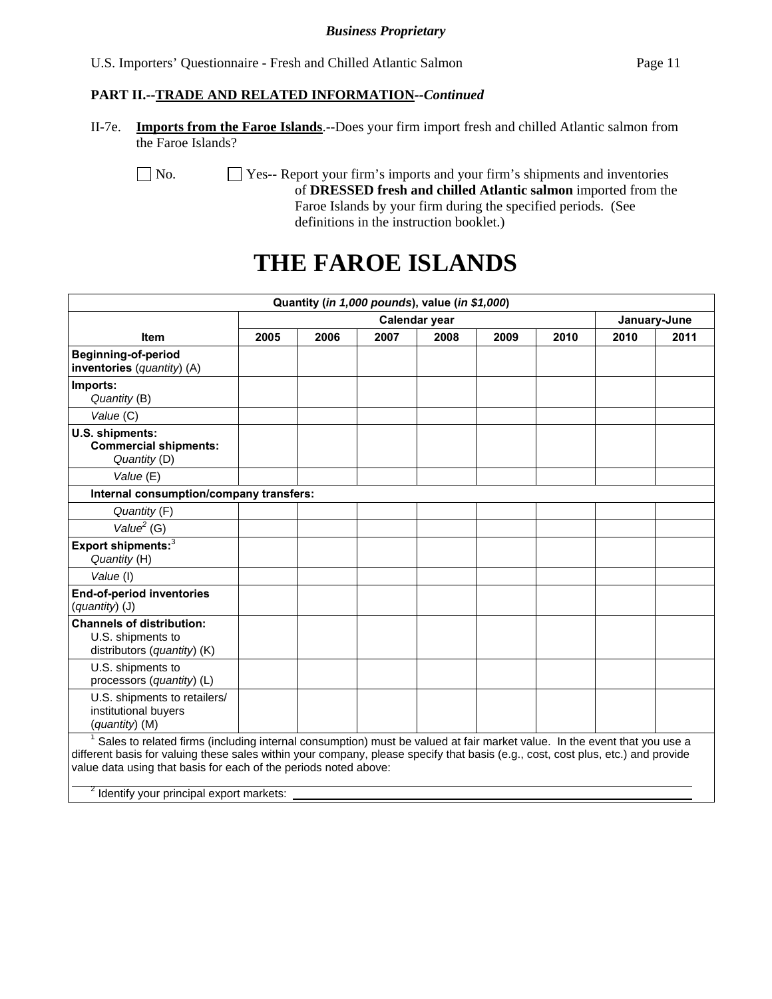### **PART II.--TRADE AND RELATED INFORMATION***--Continued*

II-7e. **Imports from the Faroe Islands**.--Does your firm import fresh and chilled Atlantic salmon from the Faroe Islands?

No.  $\Box$  Yes-- Report your firm's imports and your firm's shipments and inventories of **DRESSED fresh and chilled Atlantic salmon** imported from the Faroe Islands by your firm during the specified periods. (See definitions in the instruction booklet.)

# **THE FAROE ISLANDS**

|                                                                                                                                                                                                                                                                                                                                                                                                       |               |      |      | Quantity (in 1,000 pounds), value (in \$1,000) |      |      |              |      |
|-------------------------------------------------------------------------------------------------------------------------------------------------------------------------------------------------------------------------------------------------------------------------------------------------------------------------------------------------------------------------------------------------------|---------------|------|------|------------------------------------------------|------|------|--------------|------|
|                                                                                                                                                                                                                                                                                                                                                                                                       | Calendar year |      |      |                                                |      |      | January-June |      |
| <b>Item</b>                                                                                                                                                                                                                                                                                                                                                                                           | 2005          | 2006 | 2007 | 2008                                           | 2009 | 2010 | 2010         | 2011 |
| <b>Beginning-of-period</b><br>inventories (quantity) (A)                                                                                                                                                                                                                                                                                                                                              |               |      |      |                                                |      |      |              |      |
| Imports:<br>Quantity (B)                                                                                                                                                                                                                                                                                                                                                                              |               |      |      |                                                |      |      |              |      |
| Value (C)                                                                                                                                                                                                                                                                                                                                                                                             |               |      |      |                                                |      |      |              |      |
| U.S. shipments:<br><b>Commercial shipments:</b><br>Quantity (D)                                                                                                                                                                                                                                                                                                                                       |               |      |      |                                                |      |      |              |      |
| Value (E)                                                                                                                                                                                                                                                                                                                                                                                             |               |      |      |                                                |      |      |              |      |
| Internal consumption/company transfers:                                                                                                                                                                                                                                                                                                                                                               |               |      |      |                                                |      |      |              |      |
| Quantity (F)                                                                                                                                                                                                                                                                                                                                                                                          |               |      |      |                                                |      |      |              |      |
| Value $2$ (G)                                                                                                                                                                                                                                                                                                                                                                                         |               |      |      |                                                |      |      |              |      |
| Export shipments: <sup>3</sup><br>Quantity (H)                                                                                                                                                                                                                                                                                                                                                        |               |      |      |                                                |      |      |              |      |
| Value (I)                                                                                                                                                                                                                                                                                                                                                                                             |               |      |      |                                                |      |      |              |      |
| End-of-period inventories<br>(quantity) (J)                                                                                                                                                                                                                                                                                                                                                           |               |      |      |                                                |      |      |              |      |
| <b>Channels of distribution:</b><br>U.S. shipments to<br>distributors (quantity) (K)                                                                                                                                                                                                                                                                                                                  |               |      |      |                                                |      |      |              |      |
| U.S. shipments to<br>processors (quantity) (L)                                                                                                                                                                                                                                                                                                                                                        |               |      |      |                                                |      |      |              |      |
| U.S. shipments to retailers/<br>institutional buyers<br>(quantity) (M)                                                                                                                                                                                                                                                                                                                                |               |      |      |                                                |      |      |              |      |
| <sup>1</sup> Sales to related firms (including internal consumption) must be valued at fair market value. In the event that you use a<br>different basis for valuing these sales within your company, please specify that basis (e.g., cost, cost plus, etc.) and provide<br>value data using that basis for each of the periods noted above:<br><sup>2</sup> Identify your principal export markets: |               |      |      |                                                |      |      |              |      |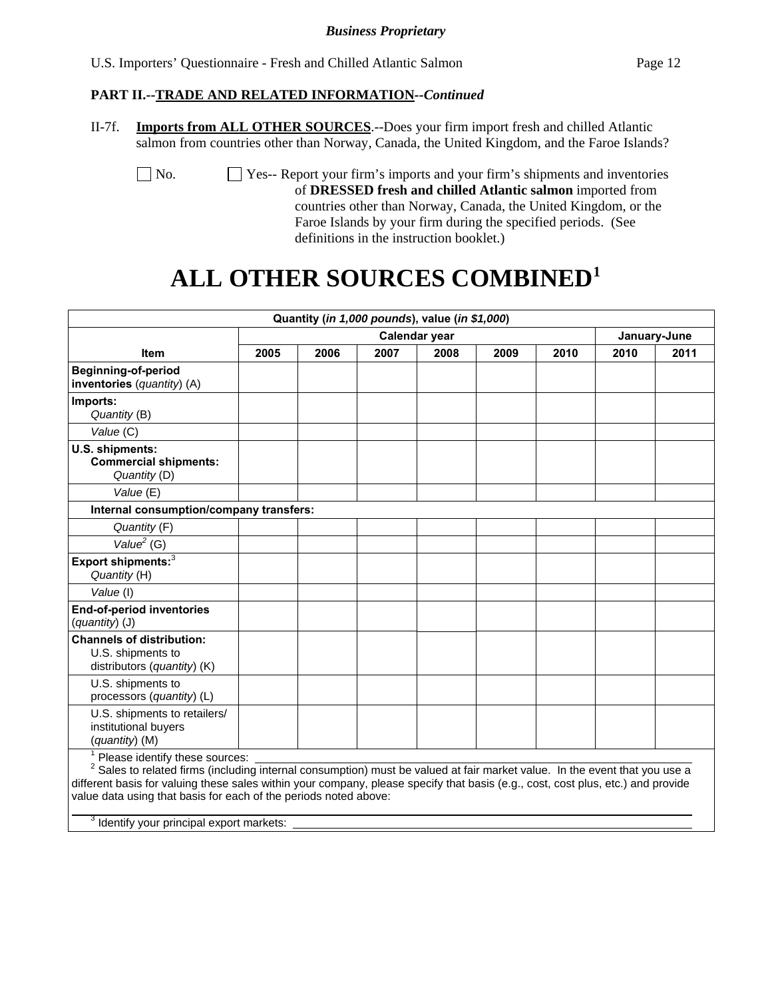| U.S. Importers' Questionnaire - Fresh and Chilled Atlantic Salmon<br>Page 12 |
|------------------------------------------------------------------------------|
|------------------------------------------------------------------------------|

### **PART II.--TRADE AND RELATED INFORMATION***--Continued*

II-7f. **Imports from ALL OTHER SOURCES**.--Does your firm import fresh and chilled Atlantic salmon from countries other than Norway, Canada, the United Kingdom, and the Faroe Islands?

 No. Yes-- Report your firm's imports and your firm's shipments and inventories of **DRESSED fresh and chilled Atlantic salmon** imported from countries other than Norway, Canada, the United Kingdom, or the Faroe Islands by your firm during the specified periods. (See definitions in the instruction booklet.)

# **ALL OTHER SOURCES COMBINED1**

|                                                                                                                                                                   |      |      | Quantity (in 1,000 pounds), value (in \$1,000) |               |      |      |      |              |
|-------------------------------------------------------------------------------------------------------------------------------------------------------------------|------|------|------------------------------------------------|---------------|------|------|------|--------------|
|                                                                                                                                                                   |      |      |                                                | Calendar year |      |      |      | January-June |
| <b>Item</b>                                                                                                                                                       | 2005 | 2006 | 2007                                           | 2008          | 2009 | 2010 | 2010 | 2011         |
| Beginning-of-period<br>inventories (quantity) (A)                                                                                                                 |      |      |                                                |               |      |      |      |              |
| Imports:<br>Quantity (B)                                                                                                                                          |      |      |                                                |               |      |      |      |              |
| Value (C)                                                                                                                                                         |      |      |                                                |               |      |      |      |              |
| U.S. shipments:<br><b>Commercial shipments:</b><br>Quantity (D)                                                                                                   |      |      |                                                |               |      |      |      |              |
| Value (E)                                                                                                                                                         |      |      |                                                |               |      |      |      |              |
| Internal consumption/company transfers:                                                                                                                           |      |      |                                                |               |      |      |      |              |
| Quantity (F)                                                                                                                                                      |      |      |                                                |               |      |      |      |              |
| Value $2$ (G)                                                                                                                                                     |      |      |                                                |               |      |      |      |              |
| Export shipments: <sup>3</sup><br>Quantity (H)                                                                                                                    |      |      |                                                |               |      |      |      |              |
| Value (I)                                                                                                                                                         |      |      |                                                |               |      |      |      |              |
| <b>End-of-period inventories</b><br>(quantity) (J)                                                                                                                |      |      |                                                |               |      |      |      |              |
| <b>Channels of distribution:</b><br>U.S. shipments to<br>distributors (quantity) (K)                                                                              |      |      |                                                |               |      |      |      |              |
| U.S. shipments to<br>processors (quantity) (L)                                                                                                                    |      |      |                                                |               |      |      |      |              |
| U.S. shipments to retailers/<br>institutional buyers<br>(quantity) (M)                                                                                            |      |      |                                                |               |      |      |      |              |
| Please identify these sources:<br>$^{2}$ Sales to related firms (including internal consumption) must be valued at fair market value. In the event that you use a |      |      |                                                |               |      |      |      |              |

s (including internal consumption) must be val different basis for valuing these sales within your company, please specify that basis (e.g., cost, cost plus, etc.) and provide value data using that basis for each of the periods noted above:

 $\overline{\phantom{0}}$  3  $3$  Identify your principal export markets: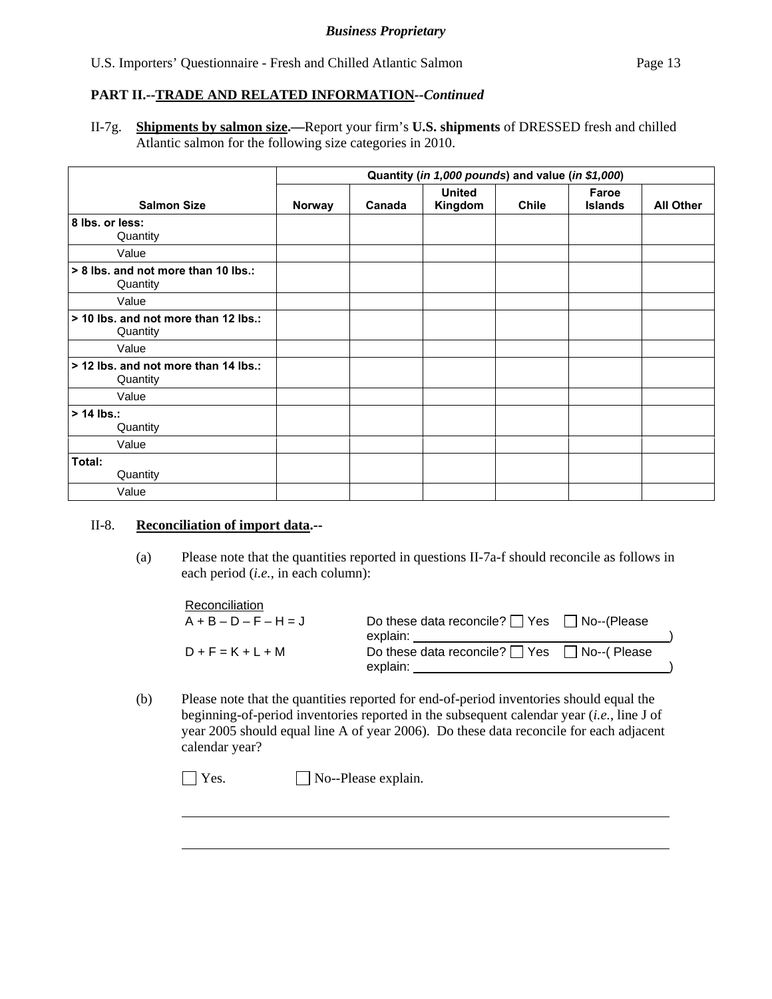# **PART II.--TRADE AND RELATED INFORMATION***--Continued*

II-7g. **Shipments by salmon size.—**Report your firm's **U.S. shipments** of DRESSED fresh and chilled Atlantic salmon for the following size categories in 2010.

|                                                  | Quantity (in 1,000 pounds) and value (in \$1,000) |        |                          |              |                         |                  |  |
|--------------------------------------------------|---------------------------------------------------|--------|--------------------------|--------------|-------------------------|------------------|--|
| <b>Salmon Size</b>                               | Norway                                            | Canada | <b>United</b><br>Kingdom | <b>Chile</b> | Faroe<br><b>Islands</b> | <b>All Other</b> |  |
| 8 lbs. or less:<br>Quantity                      |                                                   |        |                          |              |                         |                  |  |
| Value                                            |                                                   |        |                          |              |                         |                  |  |
| > 8 lbs. and not more than 10 lbs.:<br>Quantity  |                                                   |        |                          |              |                         |                  |  |
| Value                                            |                                                   |        |                          |              |                         |                  |  |
| > 10 lbs. and not more than 12 lbs.:<br>Quantity |                                                   |        |                          |              |                         |                  |  |
| Value                                            |                                                   |        |                          |              |                         |                  |  |
| > 12 lbs, and not more than 14 lbs.:<br>Quantity |                                                   |        |                          |              |                         |                  |  |
| Value                                            |                                                   |        |                          |              |                         |                  |  |
| $> 14$ lbs.:<br>Quantity                         |                                                   |        |                          |              |                         |                  |  |
| Value                                            |                                                   |        |                          |              |                         |                  |  |
| Total:<br>Quantity                               |                                                   |        |                          |              |                         |                  |  |
| Value                                            |                                                   |        |                          |              |                         |                  |  |

### II-8. **Reconciliation of import data.--**

l

(a) Please note that the quantities reported in questions II-7a-f should reconcile as follows in each period (*i.e.*, in each column):

| Reconciliation          |                                                                    |  |
|-------------------------|--------------------------------------------------------------------|--|
| $A + B - D - F - H = J$ | Do these data reconcile? $\Box$ Yes $\Box$ No--(Please<br>explain: |  |
| $D + F = K + L + M$     | Do these data reconcile? $\Box$ Yes $\Box$ No--(Please<br>explain: |  |

(b) Please note that the quantities reported for end-of-period inventories should equal the beginning-of-period inventories reported in the subsequent calendar year (*i.e.*, line J of year 2005 should equal line A of year 2006). Do these data reconcile for each adjacent calendar year?

 $\Box$  Yes.  $\Box$  No--Please explain.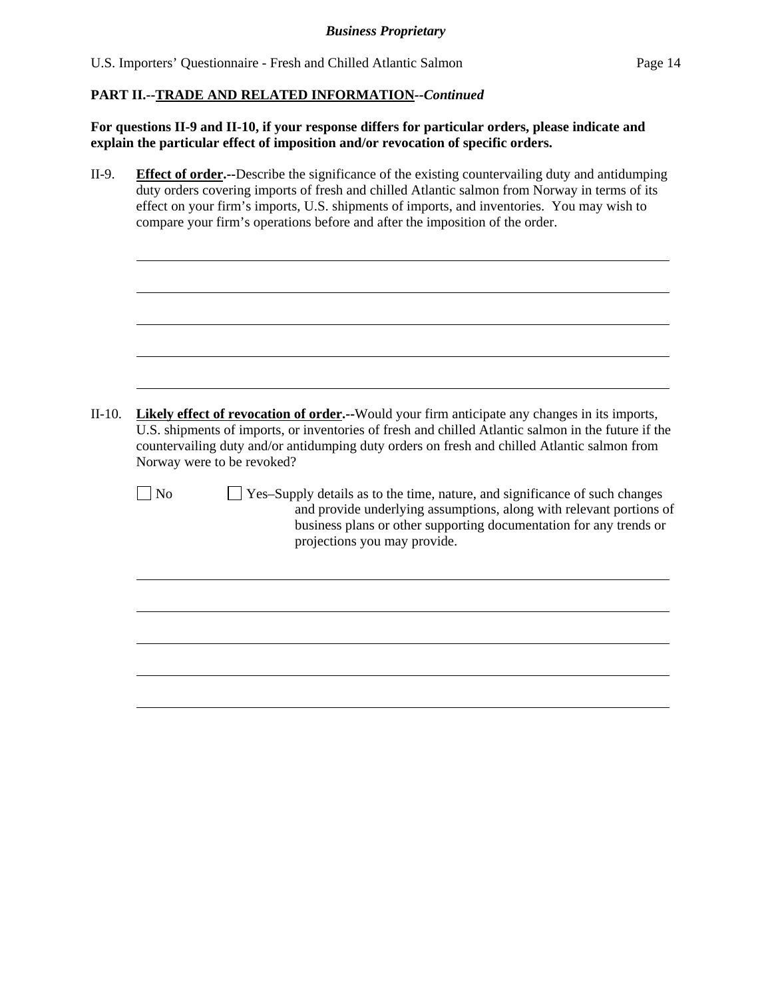## **PART II.--TRADE AND RELATED INFORMATION***--Continued*

**For questions II-9 and II-10, if your response differs for particular orders, please indicate and explain the particular effect of imposition and/or revocation of specific orders.**

| II-9.    | <b>Effect of order.</b> --Describe the significance of the existing countervailing duty and antidumping<br>duty orders covering imports of fresh and chilled Atlantic salmon from Norway in terms of its<br>effect on your firm's imports, U.S. shipments of imports, and inventories. You may wish to<br>compare your firm's operations before and after the imposition of the order. |  |  |  |  |  |  |  |
|----------|----------------------------------------------------------------------------------------------------------------------------------------------------------------------------------------------------------------------------------------------------------------------------------------------------------------------------------------------------------------------------------------|--|--|--|--|--|--|--|
|          |                                                                                                                                                                                                                                                                                                                                                                                        |  |  |  |  |  |  |  |
| $II-10.$ | Likely effect of revocation of order.--Would your firm anticipate any changes in its imports,                                                                                                                                                                                                                                                                                          |  |  |  |  |  |  |  |
|          | U.S. shipments of imports, or inventories of fresh and chilled Atlantic salmon in the future if the<br>countervailing duty and/or antidumping duty orders on fresh and chilled Atlantic salmon from<br>Norway were to be revoked?<br>$\n  1$ No<br>Yes-Supply details as to the time, nature, and significance of such changes                                                         |  |  |  |  |  |  |  |
|          | and provide underlying assumptions, along with relevant portions of<br>business plans or other supporting documentation for any trends or<br>projections you may provide.                                                                                                                                                                                                              |  |  |  |  |  |  |  |
|          |                                                                                                                                                                                                                                                                                                                                                                                        |  |  |  |  |  |  |  |
|          |                                                                                                                                                                                                                                                                                                                                                                                        |  |  |  |  |  |  |  |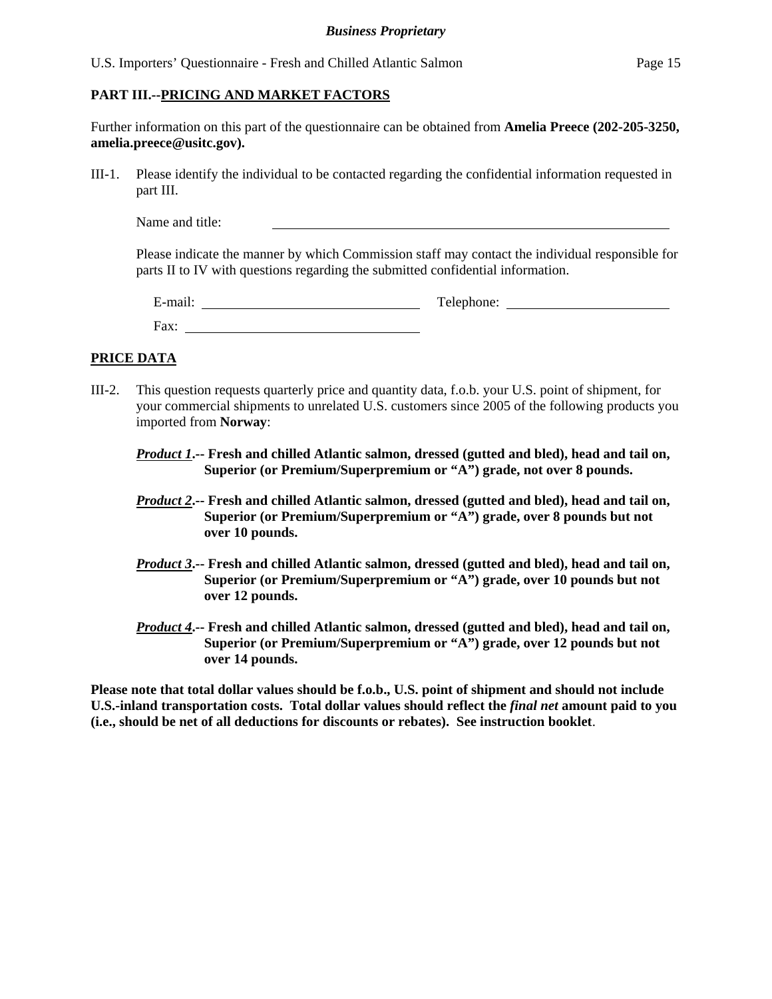### **PART III.--PRICING AND MARKET FACTORS**

Further information on this part of the questionnaire can be obtained from **Amelia Preece (202-205-3250, amelia.preece@usitc.gov).**

III-1. Please identify the individual to be contacted regarding the confidential information requested in part III.

Name and title:

Please indicate the manner by which Commission staff may contact the individual responsible for parts II to IV with questions regarding the submitted confidential information.

| $\cdot$ $\cdot$ $\cdot$<br>$\sim$<br>±-mail: | Telephone: |
|----------------------------------------------|------------|
| Fax:                                         |            |

### **PRICE DATA**

- III-2. This question requests quarterly price and quantity data, f.o.b. your U.S. point of shipment, for your commercial shipments to unrelated U.S. customers since 2005 of the following products you imported from **Norway**:
	- *Product 1***.-- Fresh and chilled Atlantic salmon, dressed (gutted and bled), head and tail on, Superior (or Premium/Superpremium or "A") grade, not over 8 pounds.**
	- *Product 2***.-- Fresh and chilled Atlantic salmon, dressed (gutted and bled), head and tail on, Superior (or Premium/Superpremium or "A") grade, over 8 pounds but not over 10 pounds.**
	- *Product 3***.-- Fresh and chilled Atlantic salmon, dressed (gutted and bled), head and tail on, Superior (or Premium/Superpremium or "A") grade, over 10 pounds but not over 12 pounds.**
	- *Product 4***.-- Fresh and chilled Atlantic salmon, dressed (gutted and bled), head and tail on, Superior (or Premium/Superpremium or "A") grade, over 12 pounds but not over 14 pounds.**

**Please note that total dollar values should be f.o.b., U.S. point of shipment and should not include U.S.-inland transportation costs. Total dollar values should reflect the** *final net* **amount paid to you (i.e., should be net of all deductions for discounts or rebates). See instruction booklet**.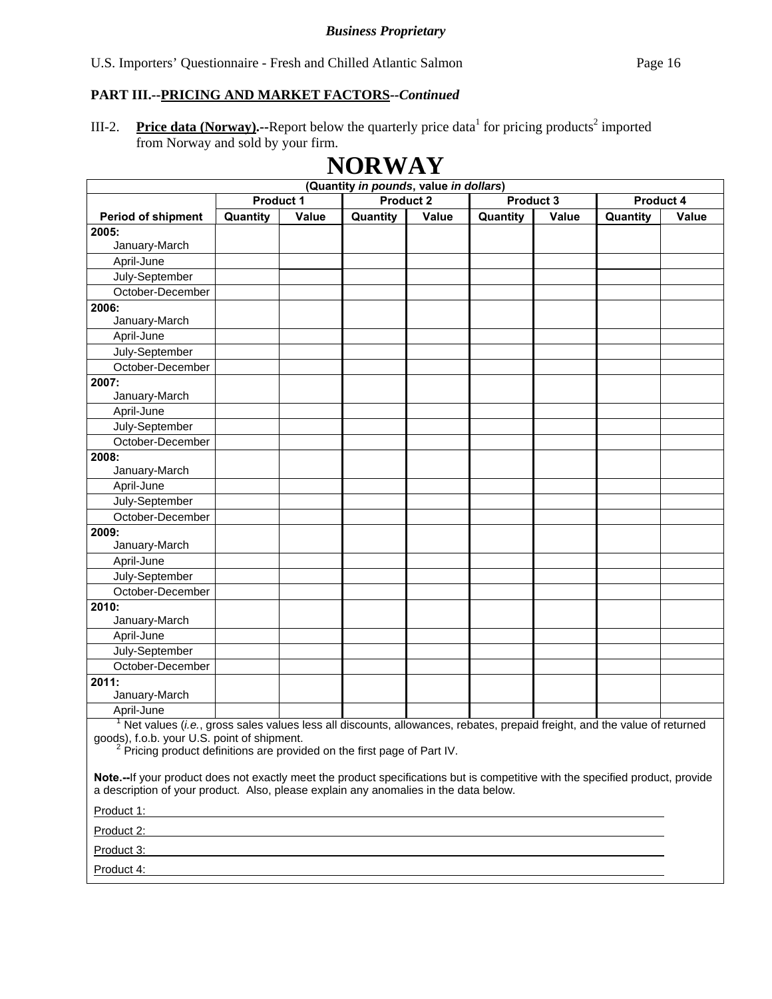III-2. **Price data (Norway).**--Report below the quarterly price data for pricing products<sup>2</sup> imported from Norway and sold by your firm.

**NORWAY** 

|                                                                                                                          | (Quantity in pounds, value in dollars) |       |                  |       |          |                        |          |       |  |  |  |
|--------------------------------------------------------------------------------------------------------------------------|----------------------------------------|-------|------------------|-------|----------|------------------------|----------|-------|--|--|--|
|                                                                                                                          | Product 1                              |       | <b>Product 2</b> |       |          | Product 3<br>Product 4 |          |       |  |  |  |
| Period of shipment                                                                                                       | Quantity                               | Value | Quantity         | Value | Quantity | Value                  | Quantity | Value |  |  |  |
| 2005:                                                                                                                    |                                        |       |                  |       |          |                        |          |       |  |  |  |
| January-March                                                                                                            |                                        |       |                  |       |          |                        |          |       |  |  |  |
| April-June                                                                                                               |                                        |       |                  |       |          |                        |          |       |  |  |  |
| July-September                                                                                                           |                                        |       |                  |       |          |                        |          |       |  |  |  |
| October-December                                                                                                         |                                        |       |                  |       |          |                        |          |       |  |  |  |
| 2006:                                                                                                                    |                                        |       |                  |       |          |                        |          |       |  |  |  |
| January-March                                                                                                            |                                        |       |                  |       |          |                        |          |       |  |  |  |
| April-June                                                                                                               |                                        |       |                  |       |          |                        |          |       |  |  |  |
| July-September                                                                                                           |                                        |       |                  |       |          |                        |          |       |  |  |  |
| October-December                                                                                                         |                                        |       |                  |       |          |                        |          |       |  |  |  |
| 2007:                                                                                                                    |                                        |       |                  |       |          |                        |          |       |  |  |  |
| January-March                                                                                                            |                                        |       |                  |       |          |                        |          |       |  |  |  |
| April-June                                                                                                               |                                        |       |                  |       |          |                        |          |       |  |  |  |
| July-September                                                                                                           |                                        |       |                  |       |          |                        |          |       |  |  |  |
| October-December                                                                                                         |                                        |       |                  |       |          |                        |          |       |  |  |  |
| 2008:                                                                                                                    |                                        |       |                  |       |          |                        |          |       |  |  |  |
| January-March                                                                                                            |                                        |       |                  |       |          |                        |          |       |  |  |  |
| April-June                                                                                                               |                                        |       |                  |       |          |                        |          |       |  |  |  |
| July-September                                                                                                           |                                        |       |                  |       |          |                        |          |       |  |  |  |
| October-December                                                                                                         |                                        |       |                  |       |          |                        |          |       |  |  |  |
| 2009:                                                                                                                    |                                        |       |                  |       |          |                        |          |       |  |  |  |
| January-March                                                                                                            |                                        |       |                  |       |          |                        |          |       |  |  |  |
| April-June                                                                                                               |                                        |       |                  |       |          |                        |          |       |  |  |  |
| July-September                                                                                                           |                                        |       |                  |       |          |                        |          |       |  |  |  |
| October-December                                                                                                         |                                        |       |                  |       |          |                        |          |       |  |  |  |
| 2010:                                                                                                                    |                                        |       |                  |       |          |                        |          |       |  |  |  |
| January-March                                                                                                            |                                        |       |                  |       |          |                        |          |       |  |  |  |
| April-June                                                                                                               |                                        |       |                  |       |          |                        |          |       |  |  |  |
| July-September                                                                                                           |                                        |       |                  |       |          |                        |          |       |  |  |  |
| October-December                                                                                                         |                                        |       |                  |       |          |                        |          |       |  |  |  |
| 2011:                                                                                                                    |                                        |       |                  |       |          |                        |          |       |  |  |  |
| January-March                                                                                                            |                                        |       |                  |       |          |                        |          |       |  |  |  |
| April-June                                                                                                               |                                        |       |                  |       |          |                        |          |       |  |  |  |
| Net values (i.e., gross sales values less all discounts, allowances, rebates, prepaid freight, and the value of returned |                                        |       |                  |       |          |                        |          |       |  |  |  |

goods), f.o.b. your U.S. point of shipment.<br><sup>2</sup> Pricing product definitions are provided on the first page of Part IV.

**Note.--**If your product does not exactly meet the product specifications but is competitive with the specified product, provide a description of your product. Also, please explain any anomalies in the data below.

Product 1:

Product 2:

Product 3:

Product 4: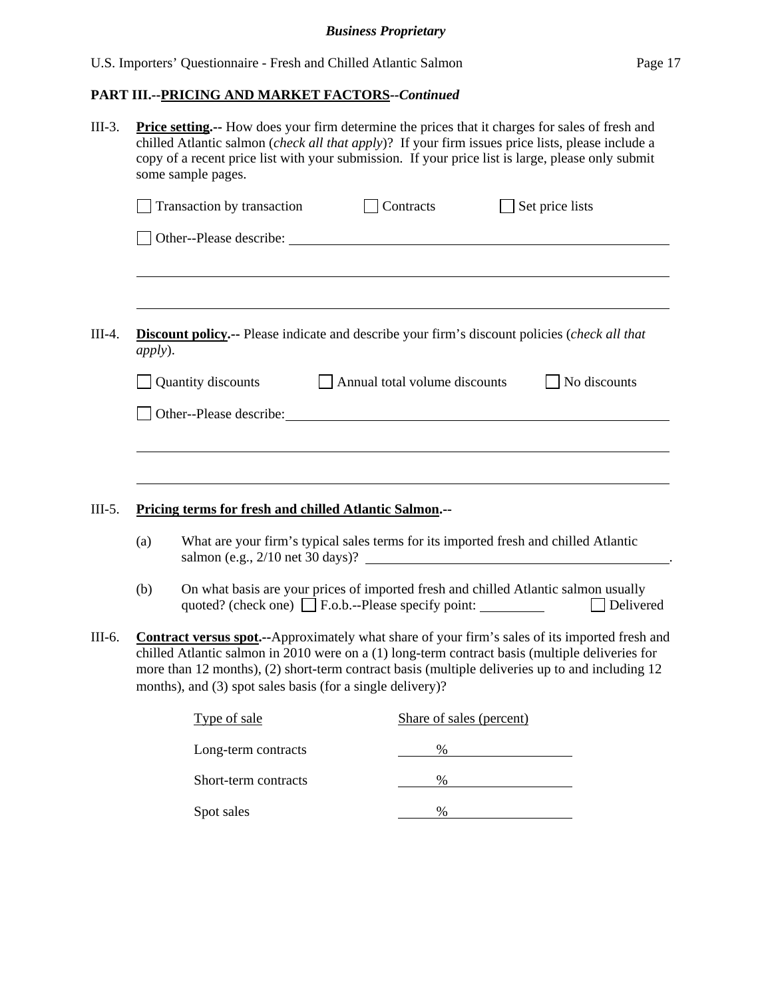| $III-3.$ | <b>Price setting.</b> -- How does your firm determine the prices that it charges for sales of fresh and<br>chilled Atlantic salmon ( <i>check all that apply</i> )? If your firm issues price lists, please include a<br>copy of a recent price list with your submission. If your price list is large, please only submit<br>some sample pages.                           |                                                                                                                                                                                                                                |                               |                          |                 |                  |  |  |
|----------|----------------------------------------------------------------------------------------------------------------------------------------------------------------------------------------------------------------------------------------------------------------------------------------------------------------------------------------------------------------------------|--------------------------------------------------------------------------------------------------------------------------------------------------------------------------------------------------------------------------------|-------------------------------|--------------------------|-----------------|------------------|--|--|
|          |                                                                                                                                                                                                                                                                                                                                                                            | Transaction by transaction                                                                                                                                                                                                     |                               | Contracts                | Set price lists |                  |  |  |
|          |                                                                                                                                                                                                                                                                                                                                                                            |                                                                                                                                                                                                                                |                               |                          |                 |                  |  |  |
| $III-4.$ | <i>apply</i> ).                                                                                                                                                                                                                                                                                                                                                            | <b>Discount policy.--</b> Please indicate and describe your firm's discount policies (check all that                                                                                                                           |                               |                          |                 |                  |  |  |
|          |                                                                                                                                                                                                                                                                                                                                                                            | Quantity discounts                                                                                                                                                                                                             | Annual total volume discounts |                          |                 | No discounts     |  |  |
|          |                                                                                                                                                                                                                                                                                                                                                                            | Other--Please describe: Note that the set of the set of the set of the set of the set of the set of the set of the set of the set of the set of the set of the set of the set of the set of the set of the set of the set of t |                               |                          |                 |                  |  |  |
|          |                                                                                                                                                                                                                                                                                                                                                                            |                                                                                                                                                                                                                                |                               |                          |                 |                  |  |  |
|          |                                                                                                                                                                                                                                                                                                                                                                            |                                                                                                                                                                                                                                |                               |                          |                 |                  |  |  |
| $III-5.$ |                                                                                                                                                                                                                                                                                                                                                                            | <b>Pricing terms for fresh and chilled Atlantic Salmon.--</b>                                                                                                                                                                  |                               |                          |                 |                  |  |  |
|          | (a)                                                                                                                                                                                                                                                                                                                                                                        | What are your firm's typical sales terms for its imported fresh and chilled Atlantic<br>salmon (e.g., $2/10$ net 30 days)?                                                                                                     |                               |                          |                 |                  |  |  |
|          | (b)                                                                                                                                                                                                                                                                                                                                                                        | On what basis are your prices of imported fresh and chilled Atlantic salmon usually                                                                                                                                            |                               |                          |                 | $\Box$ Delivered |  |  |
| III-6.   | <b>Contract versus spot.</b> --Approximately what share of your firm's sales of its imported fresh and<br>chilled Atlantic salmon in 2010 were on a (1) long-term contract basis (multiple deliveries for<br>more than 12 months), (2) short-term contract basis (multiple deliveries up to and including 12<br>months), and (3) spot sales basis (for a single delivery)? |                                                                                                                                                                                                                                |                               |                          |                 |                  |  |  |
|          |                                                                                                                                                                                                                                                                                                                                                                            | Type of sale                                                                                                                                                                                                                   |                               | Share of sales (percent) |                 |                  |  |  |
|          |                                                                                                                                                                                                                                                                                                                                                                            | Long-term contracts                                                                                                                                                                                                            |                               | $\%$                     |                 |                  |  |  |
|          |                                                                                                                                                                                                                                                                                                                                                                            | Short-term contracts                                                                                                                                                                                                           |                               | $\%$                     |                 |                  |  |  |
|          |                                                                                                                                                                                                                                                                                                                                                                            | Spot sales                                                                                                                                                                                                                     |                               | $\%$                     |                 |                  |  |  |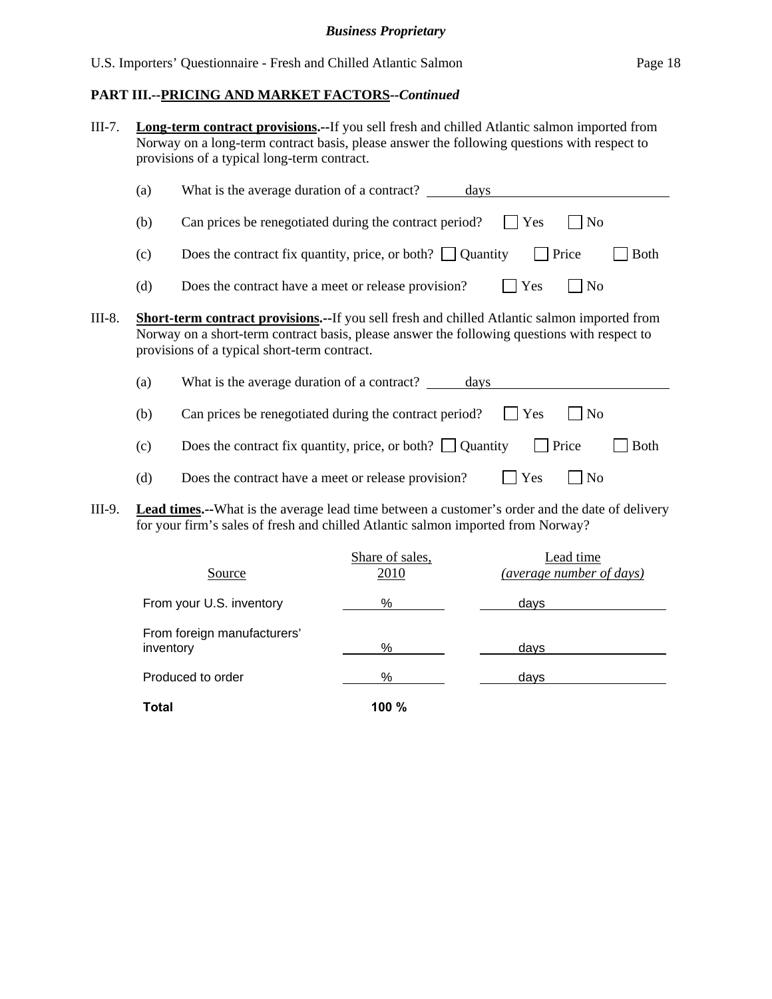| $III-7.$ |     | provisions of a typical long-term contract.         | <b>Long-term contract provisions.</b> --If you sell fresh and chilled Atlantic salmon imported from<br>Norway on a long-term contract basis, please answer the following questions with respect to   |         |                                       |
|----------|-----|-----------------------------------------------------|------------------------------------------------------------------------------------------------------------------------------------------------------------------------------------------------------|---------|---------------------------------------|
|          | (a) | What is the average duration of a contract?         | days                                                                                                                                                                                                 |         |                                       |
|          | (b) |                                                     | Can prices be renegotiated during the contract period?                                                                                                                                               | Yes     | N <sub>0</sub>                        |
|          | (c) |                                                     | Does the contract fix quantity, price, or both? $\Box$ Quantity                                                                                                                                      |         | Price<br><b>Both</b>                  |
|          | (d) | Does the contract have a meet or release provision? |                                                                                                                                                                                                      | Yes     | N <sub>o</sub>                        |
| III-8.   |     | provisions of a typical short-term contract.        | <b>Short-term contract provisions.--</b> If you sell fresh and chilled Atlantic salmon imported from<br>Norway on a short-term contract basis, please answer the following questions with respect to |         |                                       |
|          | (a) | What is the average duration of a contract?         | days                                                                                                                                                                                                 |         |                                       |
|          | (b) |                                                     | Can prices be renegotiated during the contract period?                                                                                                                                               | $ $ Yes | N <sub>o</sub>                        |
|          | (c) |                                                     | Does the contract fix quantity, price, or both? $\Box$ Quantity                                                                                                                                      |         | Price<br><b>Both</b>                  |
|          | (d) | Does the contract have a meet or release provision? |                                                                                                                                                                                                      | Yes     | No                                    |
| III-9.   |     |                                                     | <b>Lead times.</b> --What is the average lead time between a customer's order and the date of delivery<br>for your firm's sales of fresh and chilled Atlantic salmon imported from Norway?           |         |                                       |
|          |     | Source                                              | Share of sales,<br>2010                                                                                                                                                                              |         | Lead time<br>(average number of days) |

From your U.S. inventory **contain the Contract of Science Contract Contract Contract Contract Contract Contract Contract Contract Contract Contract Contract Contract Contract Contract Contract Contract Contract Contract Co** 

inventory  $\frac{96}{2}$  days

Produced to order manufacturers and the set of the set of the set of the set of the set of the set of the set of the set of the set of the set of the set of the set of the set of the set of the set of the set of the set of

From foreign manufacturers'

**Total 100 %**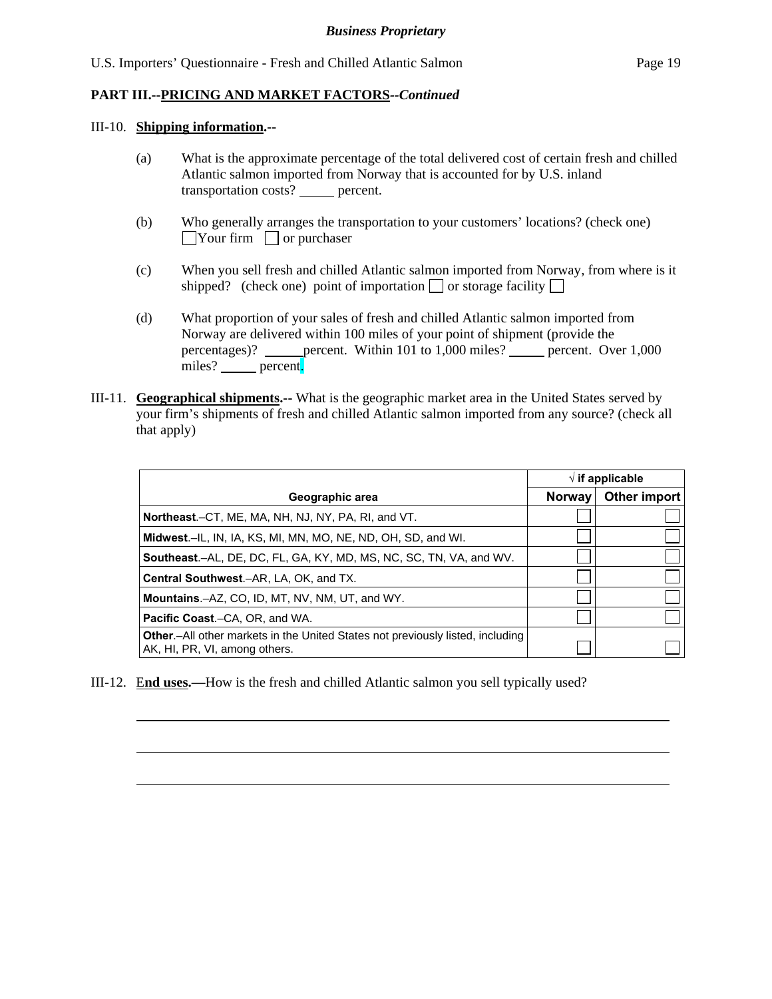### III-10. **Shipping information.--**

l

- (a) What is the approximate percentage of the total delivered cost of certain fresh and chilled Atlantic salmon imported from Norway that is accounted for by U.S. inland transportation costs? percent.
- (b) Who generally arranges the transportation to your customers' locations? (check one)  $\Box$ Your firm  $\Box$  or purchaser
- (c) When you sell fresh and chilled Atlantic salmon imported from Norway, from where is it shipped? (check one) point of importation  $\Box$  or storage facility  $\Box$
- (d) What proportion of your sales of fresh and chilled Atlantic salmon imported from Norway are delivered within 100 miles of your point of shipment (provide the percentages)? \_\_\_\_\_\_ percent. Within 101 to 1,000 miles? \_\_\_\_\_\_ percent. Over 1,000 miles? <u>percent</u>.
- III-11. **Geographical shipments.--** What is the geographic market area in the United States served by your firm's shipments of fresh and chilled Atlantic salmon imported from any source? (check all that apply)

|                                                                                                                         |               | $\sqrt{ }$ if applicable |  |
|-------------------------------------------------------------------------------------------------------------------------|---------------|--------------------------|--|
| Geographic area                                                                                                         | <b>Norway</b> | Other import             |  |
| <b>Northeast.</b> –CT, ME, MA, NH, NJ, NY, PA, RI, and VT.                                                              |               |                          |  |
| <b>Midwest.</b> –IL, IN, IA, KS, MI, MN, MO, NE, ND, OH, SD, and WI.                                                    |               |                          |  |
| <b>Southeast.–AL, DE, DC, FL, GA, KY, MD, MS, NC, SC, TN, VA, and WV.</b>                                               |               |                          |  |
| <b>Central Southwest.–AR, LA, OK, and TX.</b>                                                                           |               |                          |  |
| <b>Mountains.-AZ, CO, ID, MT, NV, NM, UT, and WY.</b>                                                                   |               |                          |  |
| <b>Pacific Coast.–CA, OR, and WA.</b>                                                                                   |               |                          |  |
| <b>Other</b> .-All other markets in the United States not previously listed, including<br>AK, HI, PR, VI, among others. |               |                          |  |

III-12. E**nd uses.—**How is the fresh and chilled Atlantic salmon you sell typically used?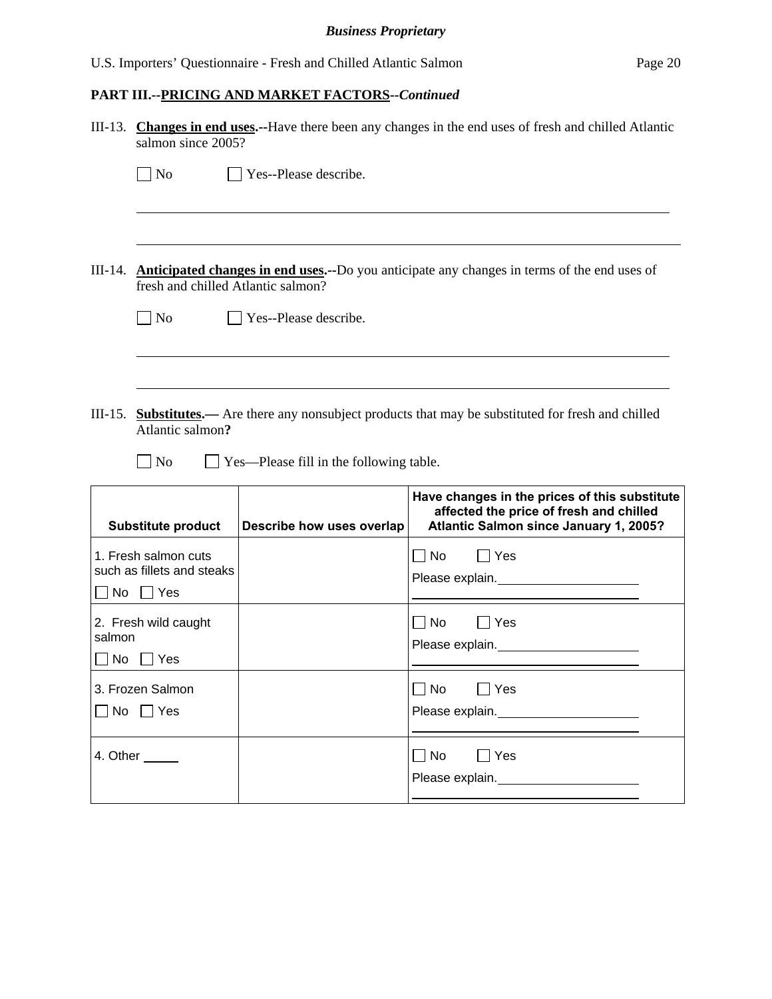|                                               | III-13. Changes in end uses.--Have there been any changes in the end uses of fresh and chilled Atlantic<br>salmon since 2005?             |                                         |                                                                                                                                    |  |  |  |
|-----------------------------------------------|-------------------------------------------------------------------------------------------------------------------------------------------|-----------------------------------------|------------------------------------------------------------------------------------------------------------------------------------|--|--|--|
|                                               | $\blacksquare$ No                                                                                                                         | Yes--Please describe.                   |                                                                                                                                    |  |  |  |
|                                               |                                                                                                                                           |                                         |                                                                                                                                    |  |  |  |
|                                               | III-14. Anticipated changes in end uses.--Do you anticipate any changes in terms of the end uses of<br>fresh and chilled Atlantic salmon? |                                         |                                                                                                                                    |  |  |  |
|                                               | $\Box$ No                                                                                                                                 | $\vert$ Yes--Please describe.           |                                                                                                                                    |  |  |  |
|                                               |                                                                                                                                           |                                         |                                                                                                                                    |  |  |  |
|                                               | Atlantic salmon?<br>$\vert$   No                                                                                                          | Yes—Please fill in the following table. | III-15. <b>Substitutes.</b> — Are there any nonsubject products that may be substituted for fresh and chilled                      |  |  |  |
|                                               | <b>Substitute product</b>                                                                                                                 | Describe how uses overlap               | Have changes in the prices of this substitute<br>affected the price of fresh and chilled<br>Atlantic Salmon since January 1, 2005? |  |  |  |
| No                                            | 1. Fresh salmon cuts<br>such as fillets and steaks<br>$\Box$ Yes                                                                          |                                         | No<br>  Yes<br>Please explain.<br><u>Please</u> explain.                                                                           |  |  |  |
| 2. Fresh wild caught<br>salmon<br>l No<br>Yes |                                                                                                                                           |                                         | $\Box$ No<br>  Yes<br>Please explain.                                                                                              |  |  |  |
| No                                            | 3. Frozen Salmon<br>$\Box$ Yes                                                                                                            |                                         | $\Box$ No<br>$\Box$ Yes<br>Please explain.<br><u> </u>                                                                             |  |  |  |
|                                               | 4. Other ______                                                                                                                           |                                         | $\Box$ No<br>Yes<br>Please explain.                                                                                                |  |  |  |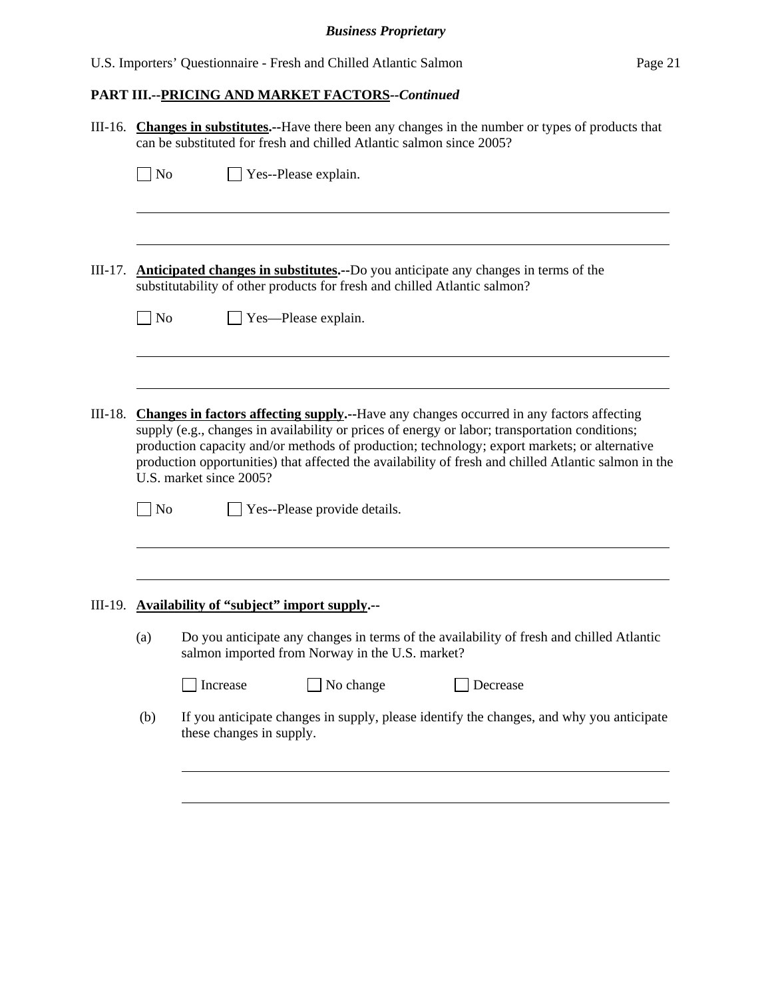|           | III-16. Changes in substitutes.--Have there been any changes in the number or types of products that<br>can be substituted for fresh and chilled Atlantic salmon since 2005?                                                                                                                                                                                                                                                          |                                                                                                                                                                         |  |  |  |  |  |
|-----------|---------------------------------------------------------------------------------------------------------------------------------------------------------------------------------------------------------------------------------------------------------------------------------------------------------------------------------------------------------------------------------------------------------------------------------------|-------------------------------------------------------------------------------------------------------------------------------------------------------------------------|--|--|--|--|--|
|           | $\Box$ No                                                                                                                                                                                                                                                                                                                                                                                                                             | Yes--Please explain.                                                                                                                                                    |  |  |  |  |  |
|           |                                                                                                                                                                                                                                                                                                                                                                                                                                       |                                                                                                                                                                         |  |  |  |  |  |
| III-17.   |                                                                                                                                                                                                                                                                                                                                                                                                                                       | <b>Anticipated changes in substitutes.</b> --Do you anticipate any changes in terms of the<br>substitutability of other products for fresh and chilled Atlantic salmon? |  |  |  |  |  |
|           | $\overline{\phantom{a}}$ No                                                                                                                                                                                                                                                                                                                                                                                                           | Yes-Please explain.                                                                                                                                                     |  |  |  |  |  |
|           |                                                                                                                                                                                                                                                                                                                                                                                                                                       |                                                                                                                                                                         |  |  |  |  |  |
| $III-18.$ | <b>Changes in factors affecting supply.</b> --Have any changes occurred in any factors affecting<br>supply (e.g., changes in availability or prices of energy or labor; transportation conditions;<br>production capacity and/or methods of production; technology; export markets; or alternative<br>production opportunities) that affected the availability of fresh and chilled Atlantic salmon in the<br>U.S. market since 2005? |                                                                                                                                                                         |  |  |  |  |  |
|           | $\Box$ No                                                                                                                                                                                                                                                                                                                                                                                                                             | Yes--Please provide details.                                                                                                                                            |  |  |  |  |  |
|           |                                                                                                                                                                                                                                                                                                                                                                                                                                       |                                                                                                                                                                         |  |  |  |  |  |
|           |                                                                                                                                                                                                                                                                                                                                                                                                                                       | III-19. Availability of "subject" import supply.--                                                                                                                      |  |  |  |  |  |
|           | (a)                                                                                                                                                                                                                                                                                                                                                                                                                                   | Do you anticipate any changes in terms of the availability of fresh and chilled Atlantic<br>salmon imported from Norway in the U.S. market?                             |  |  |  |  |  |
|           |                                                                                                                                                                                                                                                                                                                                                                                                                                       | No change<br>Decrease<br>Increase                                                                                                                                       |  |  |  |  |  |
|           | (b)                                                                                                                                                                                                                                                                                                                                                                                                                                   | If you anticipate changes in supply, please identify the changes, and why you anticipate<br>these changes in supply.                                                    |  |  |  |  |  |
|           |                                                                                                                                                                                                                                                                                                                                                                                                                                       |                                                                                                                                                                         |  |  |  |  |  |
|           |                                                                                                                                                                                                                                                                                                                                                                                                                                       |                                                                                                                                                                         |  |  |  |  |  |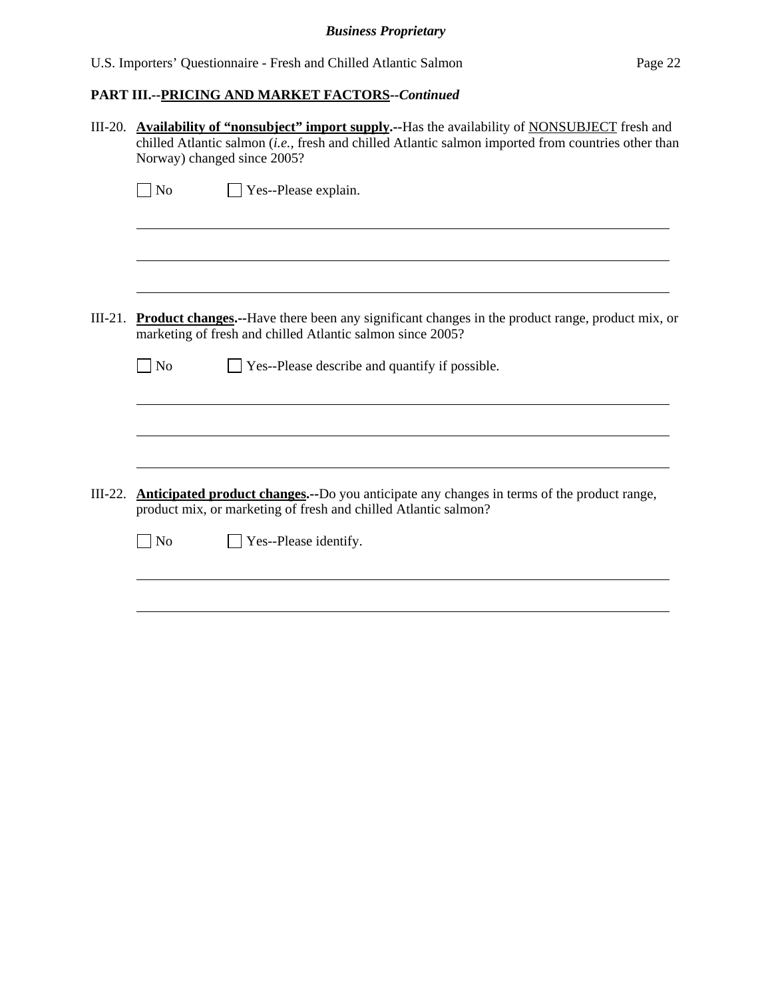|           | III-20. Availability of "nonsubject" import supply.--Has the availability of NONSUBJECT fresh and<br>chilled Atlantic salmon (i.e., fresh and chilled Atlantic salmon imported from countries other than<br>Norway) changed since 2005? |  |  |  |  |
|-----------|-----------------------------------------------------------------------------------------------------------------------------------------------------------------------------------------------------------------------------------------|--|--|--|--|
|           | Yes--Please explain.<br>$\blacksquare$ No                                                                                                                                                                                               |  |  |  |  |
|           |                                                                                                                                                                                                                                         |  |  |  |  |
| $III-21.$ | <b>Product changes.</b> --Have there been any significant changes in the product range, product mix, or<br>marketing of fresh and chilled Atlantic salmon since 2005?                                                                   |  |  |  |  |
|           | $\Box$ Yes--Please describe and quantify if possible.<br>$\vert$ No                                                                                                                                                                     |  |  |  |  |
|           |                                                                                                                                                                                                                                         |  |  |  |  |
| $III-22.$ | <b>Anticipated product changes.</b> --Do you anticipate any changes in terms of the product range,<br>product mix, or marketing of fresh and chilled Atlantic salmon?                                                                   |  |  |  |  |
|           | Yes--Please identify.<br>$ $ No                                                                                                                                                                                                         |  |  |  |  |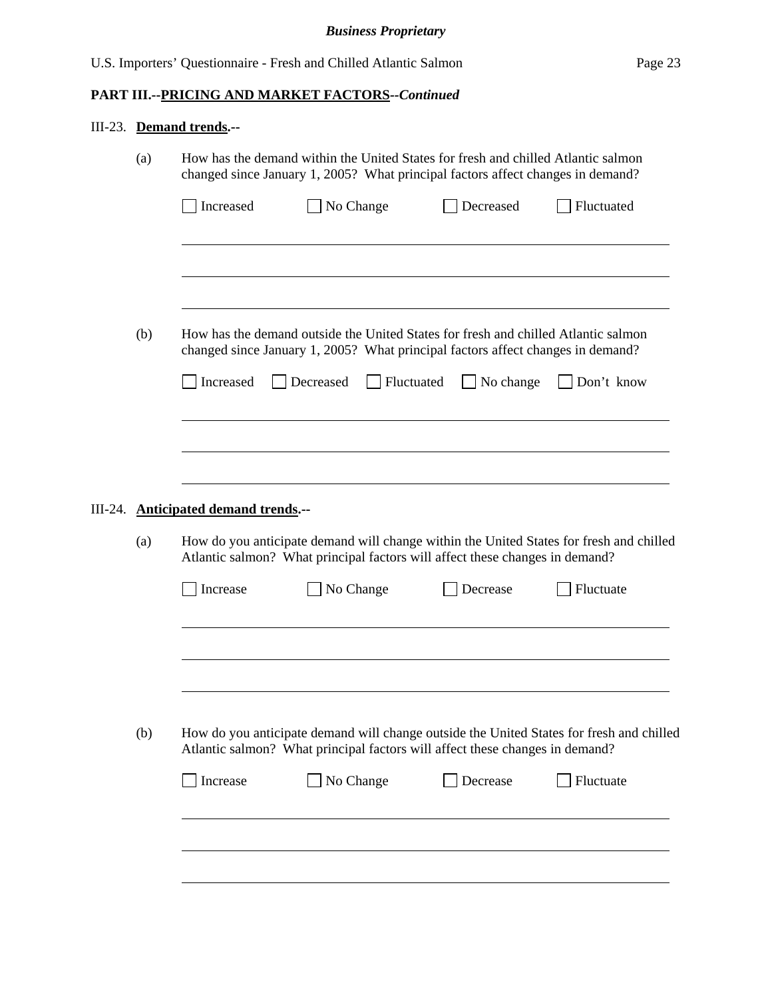# III-23. **Demand trends.--**

|         | (a) | How has the demand within the United States for fresh and chilled Atlantic salmon<br>changed since January 1, 2005? What principal factors affect changes in demand?    |                                                                              |                                                                                                                                                                       |                                                                                          |  |  |  |
|---------|-----|-------------------------------------------------------------------------------------------------------------------------------------------------------------------------|------------------------------------------------------------------------------|-----------------------------------------------------------------------------------------------------------------------------------------------------------------------|------------------------------------------------------------------------------------------|--|--|--|
|         |     | Increased                                                                                                                                                               | No Change                                                                    | Decreased                                                                                                                                                             | Fluctuated                                                                               |  |  |  |
|         |     |                                                                                                                                                                         |                                                                              |                                                                                                                                                                       |                                                                                          |  |  |  |
|         | (b) |                                                                                                                                                                         |                                                                              | How has the demand outside the United States for fresh and chilled Atlantic salmon<br>changed since January 1, 2005? What principal factors affect changes in demand? |                                                                                          |  |  |  |
|         |     | Increased                                                                                                                                                               | Fluctuated<br>Decreased                                                      | No change                                                                                                                                                             | Don't know                                                                               |  |  |  |
|         |     |                                                                                                                                                                         |                                                                              |                                                                                                                                                                       |                                                                                          |  |  |  |
| III-24. |     | <b>Anticipated demand trends.--</b>                                                                                                                                     |                                                                              |                                                                                                                                                                       |                                                                                          |  |  |  |
|         | (a) | How do you anticipate demand will change within the United States for fresh and chilled<br>Atlantic salmon? What principal factors will affect these changes in demand? |                                                                              |                                                                                                                                                                       |                                                                                          |  |  |  |
|         |     |                                                                                                                                                                         |                                                                              |                                                                                                                                                                       |                                                                                          |  |  |  |
|         |     | Increase                                                                                                                                                                | No Change                                                                    | Decrease                                                                                                                                                              | Fluctuate                                                                                |  |  |  |
|         |     |                                                                                                                                                                         |                                                                              |                                                                                                                                                                       |                                                                                          |  |  |  |
|         |     |                                                                                                                                                                         |                                                                              |                                                                                                                                                                       |                                                                                          |  |  |  |
|         | (b) |                                                                                                                                                                         | Atlantic salmon? What principal factors will affect these changes in demand? |                                                                                                                                                                       | How do you anticipate demand will change outside the United States for fresh and chilled |  |  |  |
|         |     | Increase                                                                                                                                                                | No Change                                                                    | Decrease                                                                                                                                                              | Fluctuate                                                                                |  |  |  |
|         |     |                                                                                                                                                                         |                                                                              |                                                                                                                                                                       |                                                                                          |  |  |  |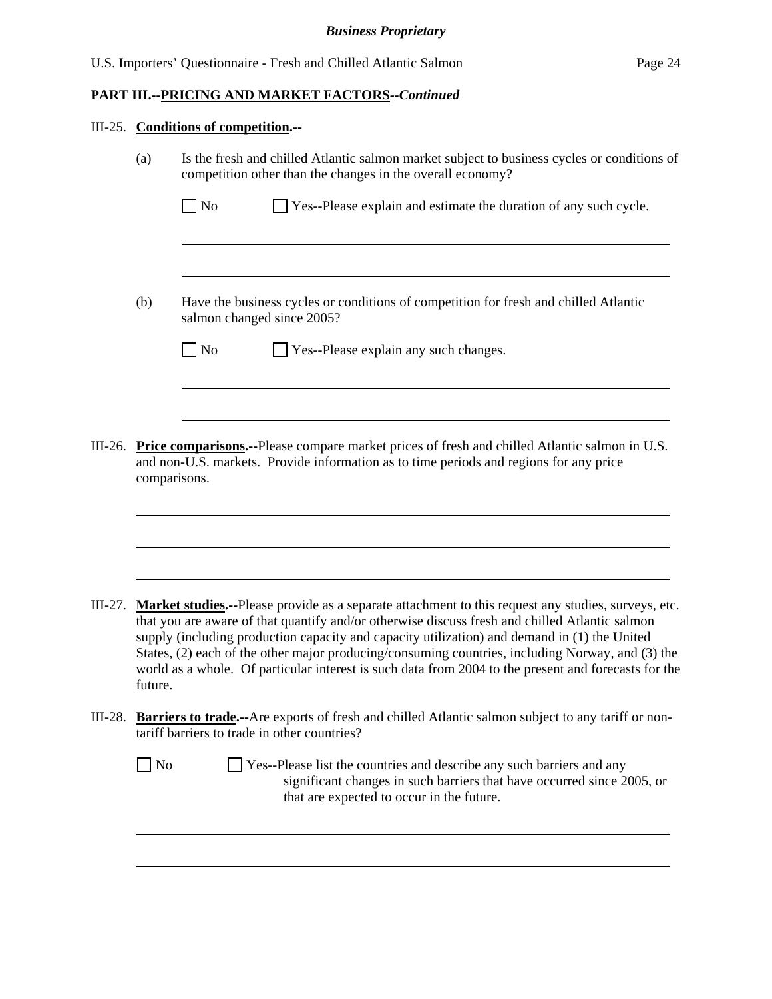# III-25. **Conditions of competition.--**

|         | (a)          | Is the fresh and chilled Atlantic salmon market subject to business cycles or conditions of<br>competition other than the changes in the overall economy?                                                                                                                                                                                                                                                                                                                                                                 |
|---------|--------------|---------------------------------------------------------------------------------------------------------------------------------------------------------------------------------------------------------------------------------------------------------------------------------------------------------------------------------------------------------------------------------------------------------------------------------------------------------------------------------------------------------------------------|
|         |              | $\log$<br>Yes--Please explain and estimate the duration of any such cycle.                                                                                                                                                                                                                                                                                                                                                                                                                                                |
|         | (b)          | Have the business cycles or conditions of competition for fresh and chilled Atlantic<br>salmon changed since 2005?                                                                                                                                                                                                                                                                                                                                                                                                        |
|         |              | $\Box$ No<br>Yes--Please explain any such changes.                                                                                                                                                                                                                                                                                                                                                                                                                                                                        |
|         |              |                                                                                                                                                                                                                                                                                                                                                                                                                                                                                                                           |
| III-26. | comparisons. | <b>Price comparisons.</b> --Please compare market prices of fresh and chilled Atlantic salmon in U.S.<br>and non-U.S. markets. Provide information as to time periods and regions for any price                                                                                                                                                                                                                                                                                                                           |
| III-27. | future.      | <b>Market studies.</b> --Please provide as a separate attachment to this request any studies, surveys, etc.<br>that you are aware of that quantify and/or otherwise discuss fresh and chilled Atlantic salmon<br>supply (including production capacity and capacity utilization) and demand in (1) the United<br>States, (2) each of the other major producing/consuming countries, including Norway, and (3) the<br>world as a whole. Of particular interest is such data from 2004 to the present and forecasts for the |
|         |              | III-28. <b>Barriers to trade.--</b> Are exports of fresh and chilled Atlantic salmon subject to any tariff or non-<br>tariff barriers to trade in other countries?                                                                                                                                                                                                                                                                                                                                                        |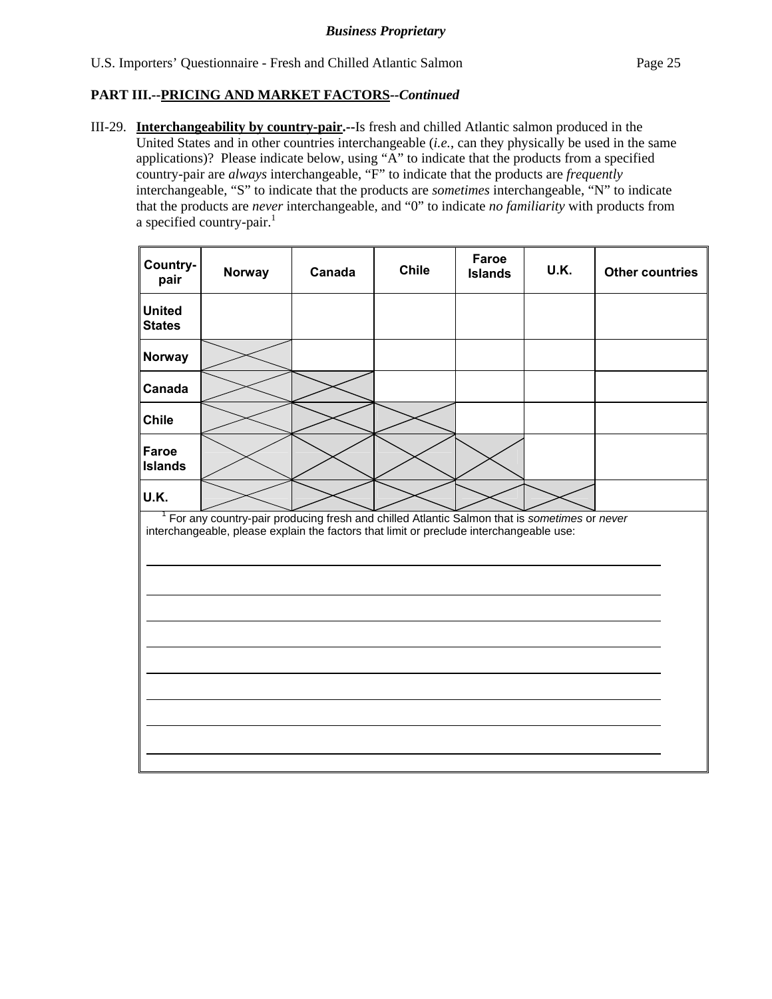III-29. **Interchangeability by country-pair.--**Is fresh and chilled Atlantic salmon produced in the United States and in other countries interchangeable (*i.e.*, can they physically be used in the same applications)? Please indicate below, using "A" to indicate that the products from a specified country-pair are *always* interchangeable, "F" to indicate that the products are *frequently* interchangeable, "S" to indicate that the products are *sometimes* interchangeable, "N" to indicate that the products are *never* interchangeable, and "0" to indicate *no familiarity* with products from a specified country-pair. $<sup>1</sup>$ </sup>

| Country-<br>pair               | Norway                                                                                                                                                                                 | Canada | <b>Chile</b> | Faroe<br><b>Islands</b> | U.K. | <b>Other countries</b> |
|--------------------------------|----------------------------------------------------------------------------------------------------------------------------------------------------------------------------------------|--------|--------------|-------------------------|------|------------------------|
| <b>United</b><br><b>States</b> |                                                                                                                                                                                        |        |              |                         |      |                        |
| Norway                         |                                                                                                                                                                                        |        |              |                         |      |                        |
| Canada                         |                                                                                                                                                                                        |        |              |                         |      |                        |
| <b>Chile</b>                   |                                                                                                                                                                                        |        |              |                         |      |                        |
| Faroe<br><b>Islands</b>        |                                                                                                                                                                                        |        |              |                         |      |                        |
| U.K.                           |                                                                                                                                                                                        |        |              |                         |      |                        |
|                                | For any country-pair producing fresh and chilled Atlantic Salmon that is sometimes or never<br>interchangeable, please explain the factors that limit or preclude interchangeable use: |        |              |                         |      |                        |
|                                |                                                                                                                                                                                        |        |              |                         |      |                        |
|                                |                                                                                                                                                                                        |        |              |                         |      |                        |
|                                |                                                                                                                                                                                        |        |              |                         |      |                        |
|                                |                                                                                                                                                                                        |        |              |                         |      |                        |
|                                |                                                                                                                                                                                        |        |              |                         |      |                        |